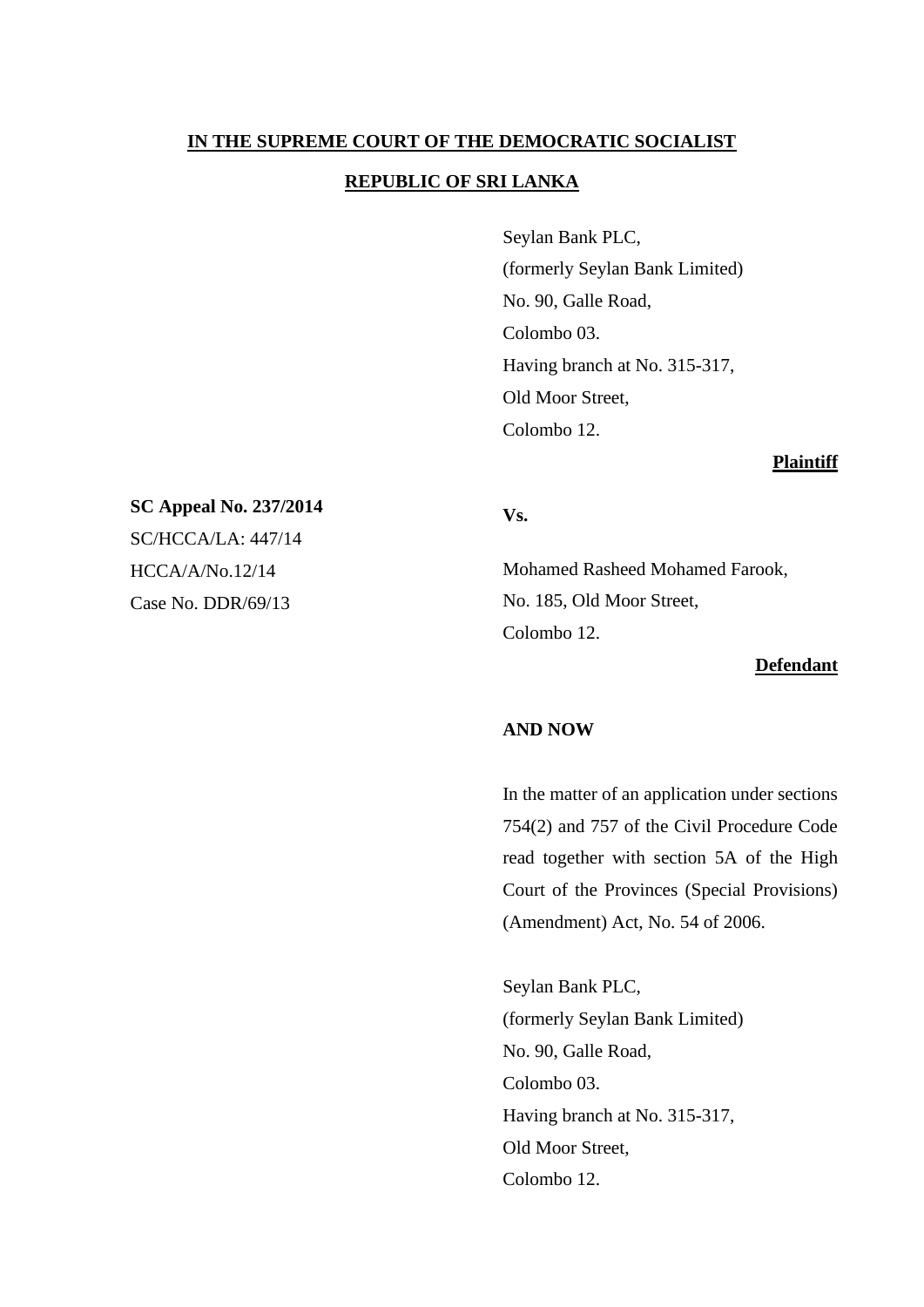# **IN THE SUPREME COURT OF THE DEMOCRATIC SOCIALIST REPUBLIC OF SRI LANKA**

Seylan Bank PLC, (formerly Seylan Bank Limited) No. 90, Galle Road, Colombo 03. Having branch at No. 315-317, Old Moor Street, Colombo 12.

#### **Plaintiff**

# **Vs.**

Mohamed Rasheed Mohamed Farook, No. 185, Old Moor Street, Colombo 12.

#### **Defendant**

# **AND NOW**

In the matter of an application under sections 754(2) and 757 of the Civil Procedure Code read together with section 5A of the High Court of the Provinces (Special Provisions) (Amendment) Act, No. 54 of 2006.

Seylan Bank PLC, (formerly Seylan Bank Limited) No. 90, Galle Road, Colombo 03. Having branch at No. 315-317, Old Moor Street, Colombo 12.

**SC Appeal No. 237/2014** SC/HCCA/LA: 447/14 HCCA/A/No.12/14 Case No. DDR/69/13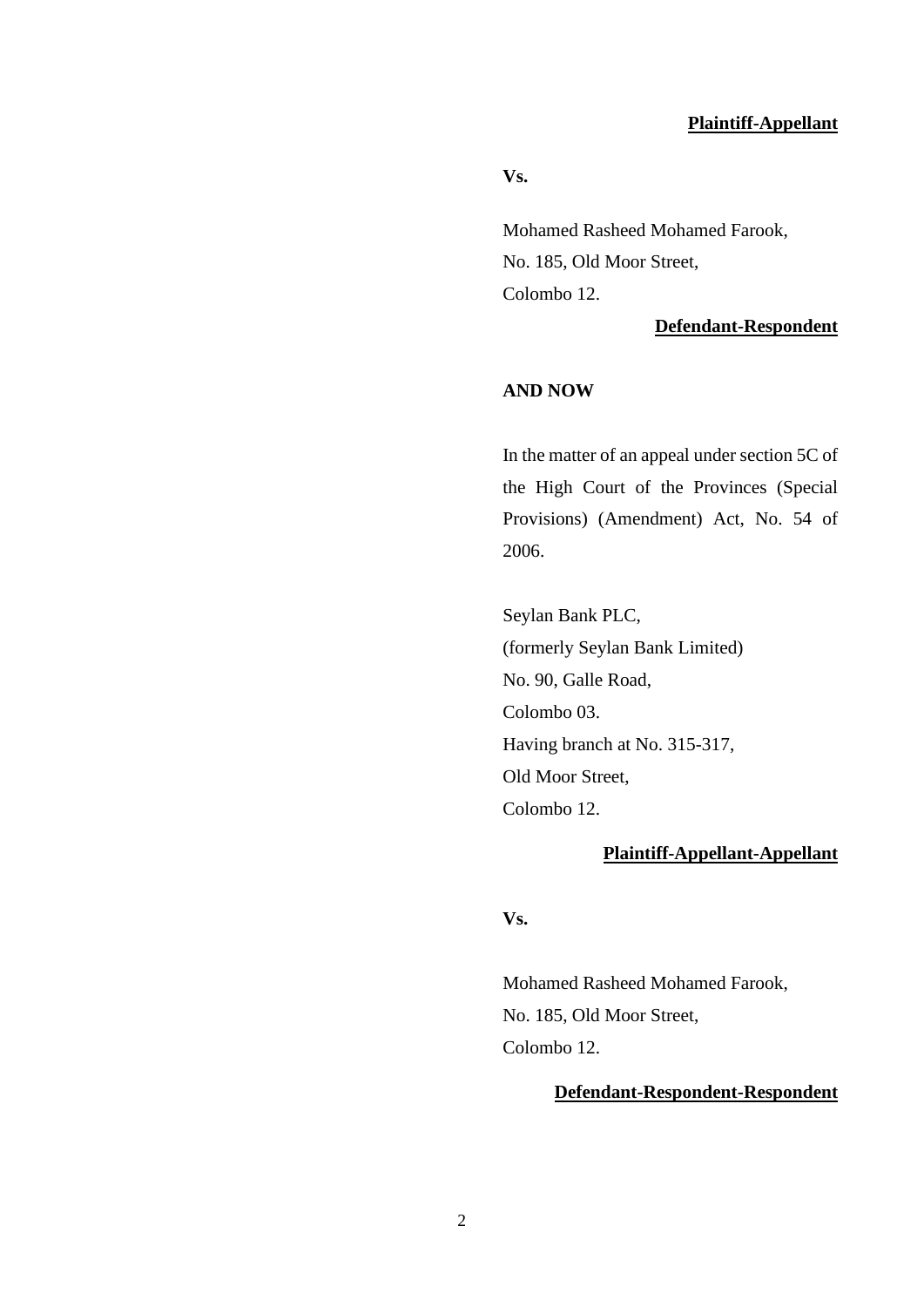#### **Plaintiff-Appellant**

**Vs.**

Mohamed Rasheed Mohamed Farook, No. 185, Old Moor Street, Colombo 12.

#### **Defendant-Respondent**

## **AND NOW**

In the matter of an appeal under section 5C of the High Court of the Provinces (Special Provisions) (Amendment) Act, No. 54 of 2006.

Seylan Bank PLC, (formerly Seylan Bank Limited) No. 90, Galle Road, Colombo 03. Having branch at No. 315-317, Old Moor Street, Colombo 12.

# **Plaintiff-Appellant-Appellant**

# **Vs.**

Mohamed Rasheed Mohamed Farook, No. 185, Old Moor Street, Colombo 12.

# **Defendant-Respondent-Respondent**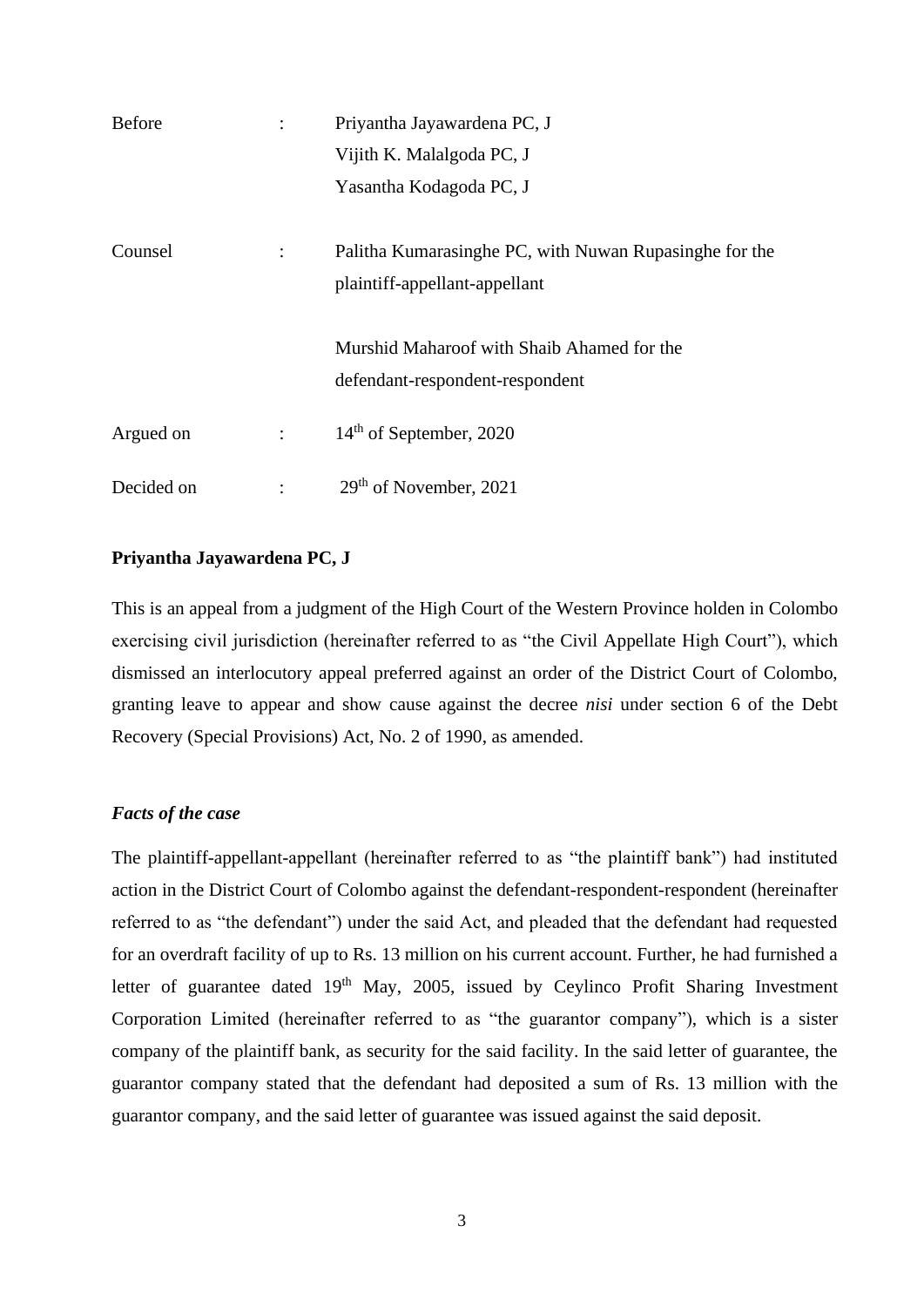| <b>Before</b> |                | Priyantha Jayawardena PC, J                            |
|---------------|----------------|--------------------------------------------------------|
|               |                | Vijith K. Malalgoda PC, J                              |
|               |                | Yasantha Kodagoda PC, J                                |
|               |                |                                                        |
| Counsel       | $\ddot{\cdot}$ | Palitha Kumarasinghe PC, with Nuwan Rupasinghe for the |
|               |                | plaintiff-appellant-appellant                          |
|               |                |                                                        |
|               |                | Murshid Maharoof with Shaib Ahamed for the             |
|               |                | defendant-respondent-respondent                        |
| Argued on     | $\ddot{\cdot}$ | $14th$ of September, 2020                              |
| Decided on    |                | 29 <sup>th</sup> of November, 2021                     |

#### **Priyantha Jayawardena PC, J**

This is an appeal from a judgment of the High Court of the Western Province holden in Colombo exercising civil jurisdiction (hereinafter referred to as "the Civil Appellate High Court"), which dismissed an interlocutory appeal preferred against an order of the District Court of Colombo, granting leave to appear and show cause against the decree *nisi* under section 6 of the Debt Recovery (Special Provisions) Act, No. 2 of 1990, as amended.

#### *Facts of the case*

The plaintiff-appellant-appellant (hereinafter referred to as "the plaintiff bank") had instituted action in the District Court of Colombo against the defendant-respondent-respondent (hereinafter referred to as "the defendant") under the said Act, and pleaded that the defendant had requested for an overdraft facility of up to Rs. 13 million on his current account. Further, he had furnished a letter of guarantee dated  $19<sup>th</sup>$  May, 2005, issued by Ceylinco Profit Sharing Investment Corporation Limited (hereinafter referred to as "the guarantor company"), which is a sister company of the plaintiff bank, as security for the said facility. In the said letter of guarantee, the guarantor company stated that the defendant had deposited a sum of Rs. 13 million with the guarantor company, and the said letter of guarantee was issued against the said deposit.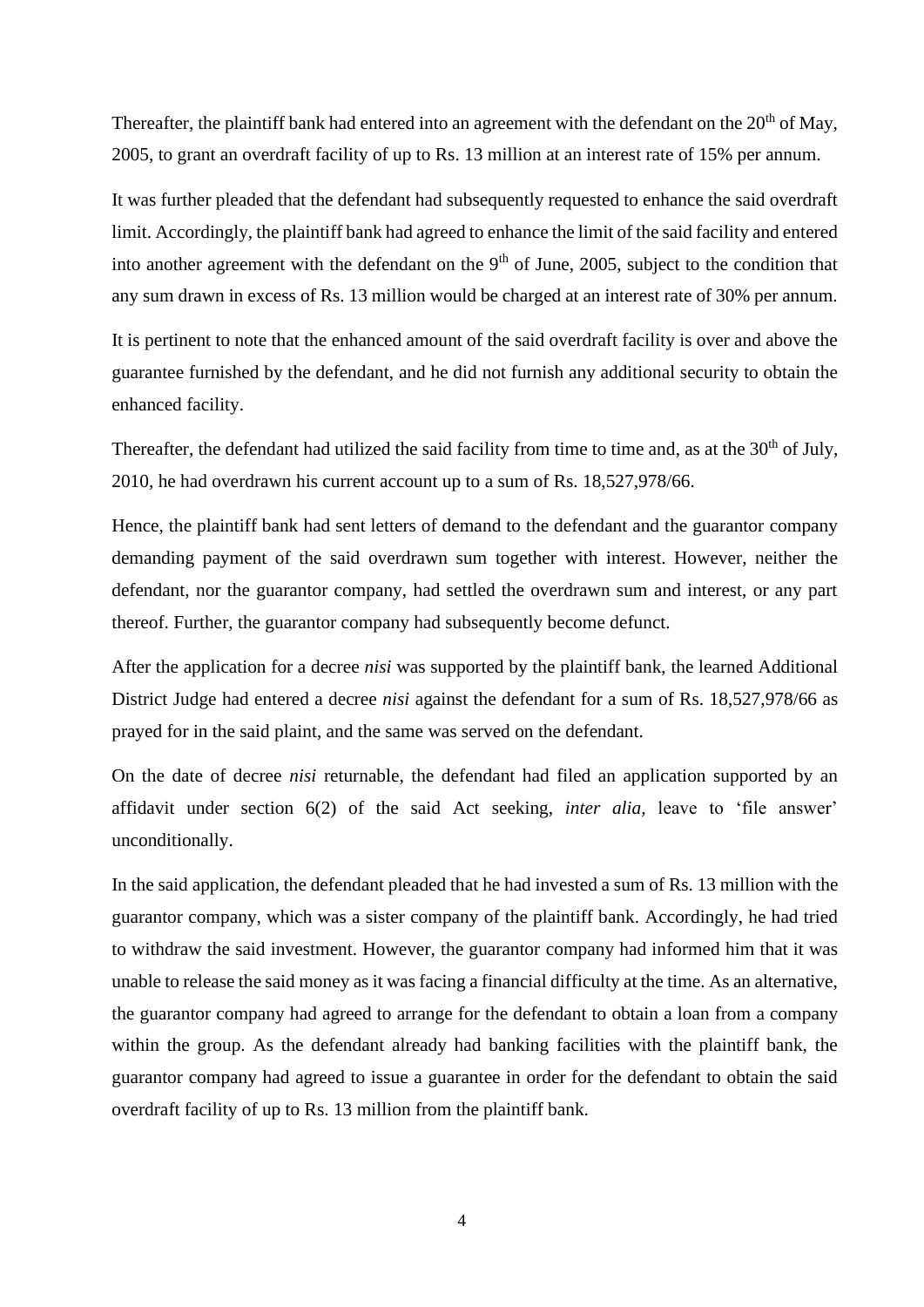Thereafter, the plaintiff bank had entered into an agreement with the defendant on the  $20<sup>th</sup>$  of May, 2005, to grant an overdraft facility of up to Rs. 13 million at an interest rate of 15% per annum.

It was further pleaded that the defendant had subsequently requested to enhance the said overdraft limit. Accordingly, the plaintiff bank had agreed to enhance the limit of the said facility and entered into another agreement with the defendant on the  $9<sup>th</sup>$  of June, 2005, subject to the condition that any sum drawn in excess of Rs. 13 million would be charged at an interest rate of 30% per annum.

It is pertinent to note that the enhanced amount of the said overdraft facility is over and above the guarantee furnished by the defendant, and he did not furnish any additional security to obtain the enhanced facility.

Thereafter, the defendant had utilized the said facility from time to time and, as at the 30<sup>th</sup> of July, 2010, he had overdrawn his current account up to a sum of Rs. 18,527,978/66.

Hence, the plaintiff bank had sent letters of demand to the defendant and the guarantor company demanding payment of the said overdrawn sum together with interest. However, neither the defendant, nor the guarantor company, had settled the overdrawn sum and interest, or any part thereof. Further, the guarantor company had subsequently become defunct.

After the application for a decree *nisi* was supported by the plaintiff bank, the learned Additional District Judge had entered a decree *nisi* against the defendant for a sum of Rs. 18,527,978/66 as prayed for in the said plaint, and the same was served on the defendant.

On the date of decree *nisi* returnable, the defendant had filed an application supported by an affidavit under section 6(2) of the said Act seeking, *inter alia,* leave to 'file answer' unconditionally.

In the said application, the defendant pleaded that he had invested a sum of Rs. 13 million with the guarantor company, which was a sister company of the plaintiff bank. Accordingly, he had tried to withdraw the said investment. However, the guarantor company had informed him that it was unable to release the said money as it was facing a financial difficulty at the time. As an alternative, the guarantor company had agreed to arrange for the defendant to obtain a loan from a company within the group. As the defendant already had banking facilities with the plaintiff bank, the guarantor company had agreed to issue a guarantee in order for the defendant to obtain the said overdraft facility of up to Rs. 13 million from the plaintiff bank.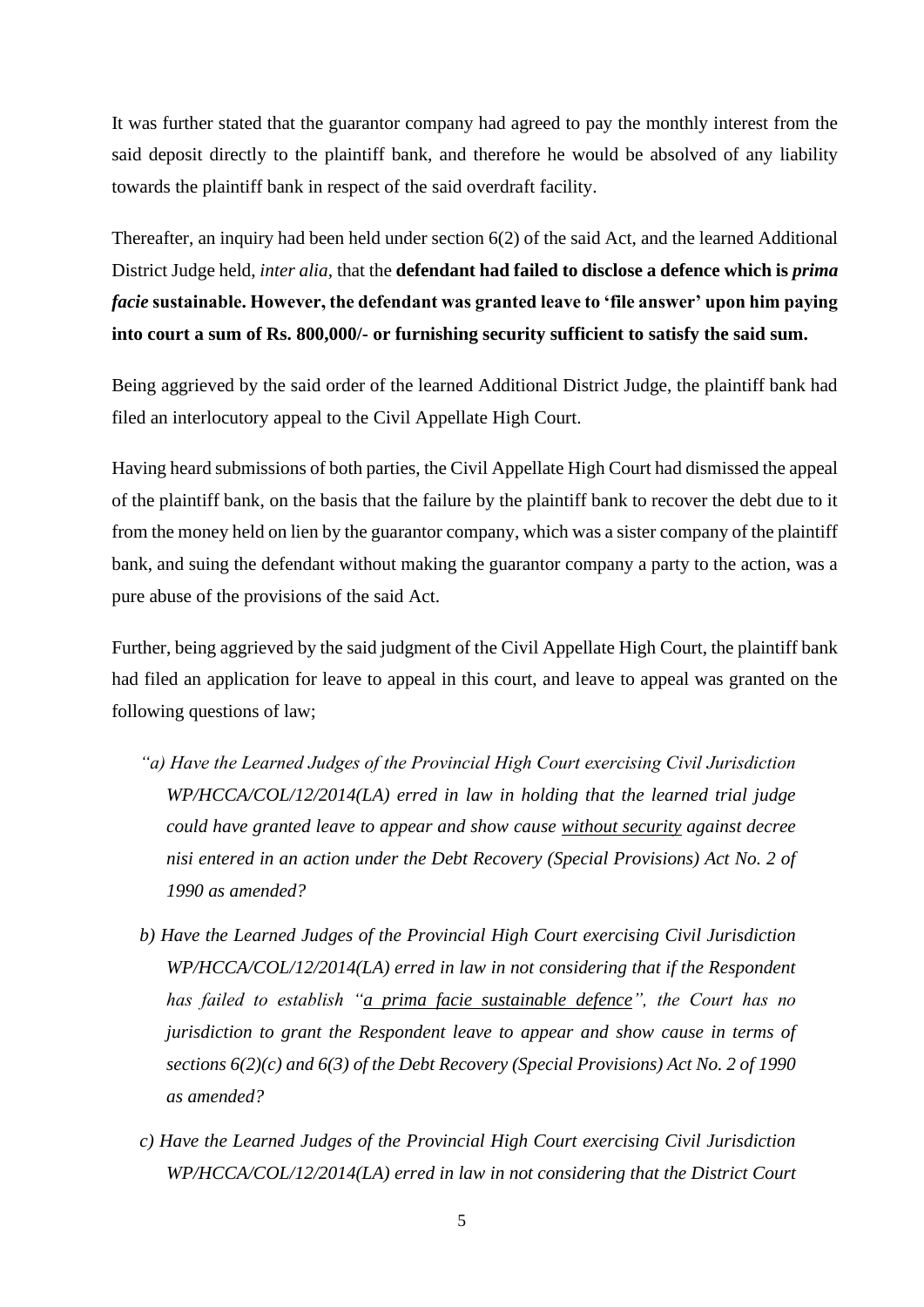It was further stated that the guarantor company had agreed to pay the monthly interest from the said deposit directly to the plaintiff bank, and therefore he would be absolved of any liability towards the plaintiff bank in respect of the said overdraft facility.

Thereafter, an inquiry had been held under section 6(2) of the said Act, and the learned Additional District Judge held, *inter alia,* that the **defendant had failed to disclose a defence which is** *prima facie* **sustainable. However, the defendant was granted leave to 'file answer' upon him paying into court a sum of Rs. 800,000/- or furnishing security sufficient to satisfy the said sum.**

Being aggrieved by the said order of the learned Additional District Judge, the plaintiff bank had filed an interlocutory appeal to the Civil Appellate High Court.

Having heard submissions of both parties, the Civil Appellate High Court had dismissed the appeal of the plaintiff bank, on the basis that the failure by the plaintiff bank to recover the debt due to it from the money held on lien by the guarantor company, which was a sister company of the plaintiff bank, and suing the defendant without making the guarantor company a party to the action, was a pure abuse of the provisions of the said Act.

Further, being aggrieved by the said judgment of the Civil Appellate High Court, the plaintiff bank had filed an application for leave to appeal in this court, and leave to appeal was granted on the following questions of law;

- *"a) Have the Learned Judges of the Provincial High Court exercising Civil Jurisdiction WP/HCCA/COL/12/2014(LA) erred in law in holding that the learned trial judge could have granted leave to appear and show cause without security against decree nisi entered in an action under the Debt Recovery (Special Provisions) Act No. 2 of 1990 as amended?*
- *b) Have the Learned Judges of the Provincial High Court exercising Civil Jurisdiction WP/HCCA/COL/12/2014(LA) erred in law in not considering that if the Respondent has failed to establish "a prima facie sustainable defence", the Court has no jurisdiction to grant the Respondent leave to appear and show cause in terms of sections 6(2)(c) and 6(3) of the Debt Recovery (Special Provisions) Act No. 2 of 1990 as amended?*
- *c) Have the Learned Judges of the Provincial High Court exercising Civil Jurisdiction WP/HCCA/COL/12/2014(LA) erred in law in not considering that the District Court*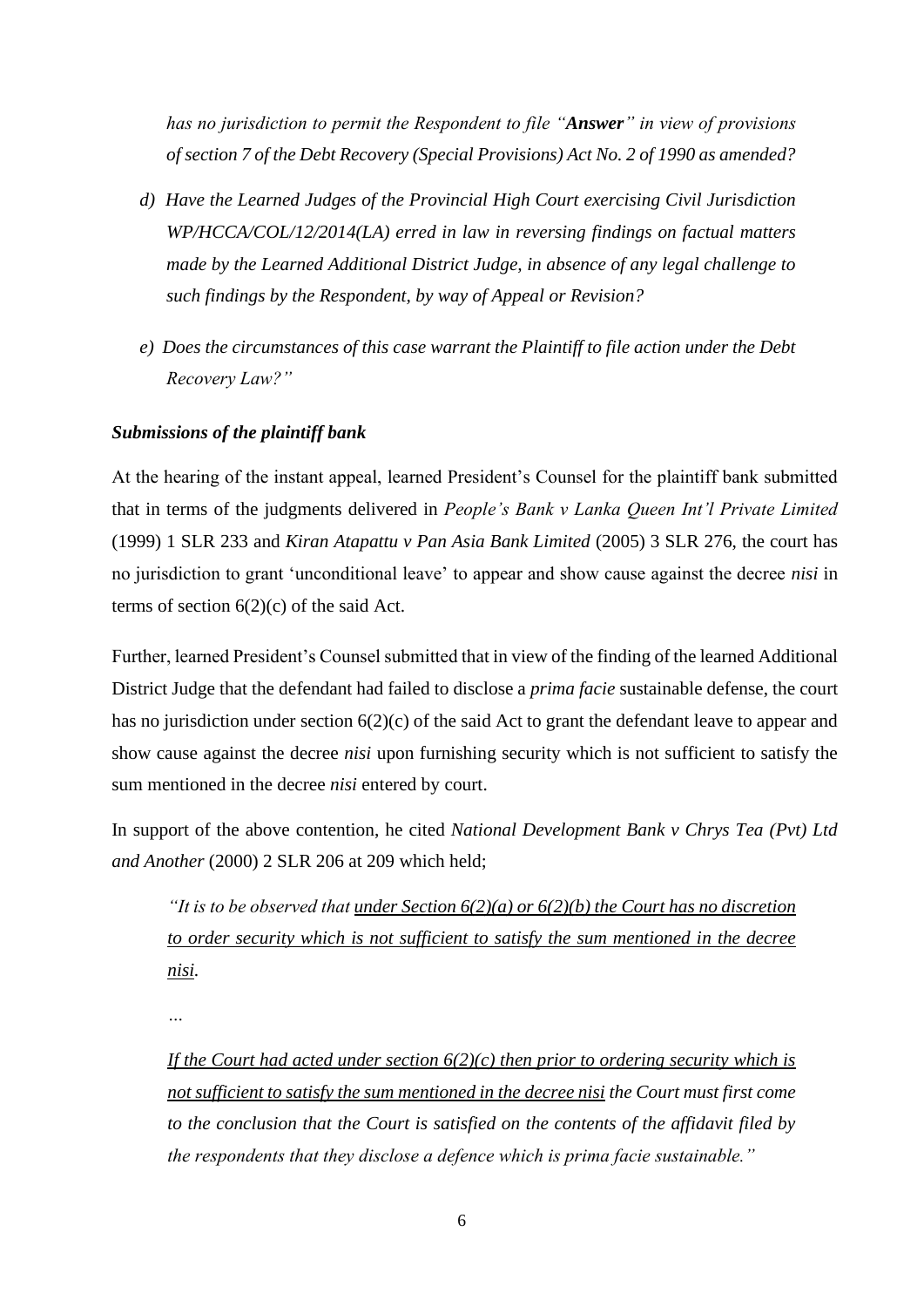*has no jurisdiction to permit the Respondent to file "Answer" in view of provisions of section 7 of the Debt Recovery (Special Provisions) Act No. 2 of 1990 as amended?*

- *d) Have the Learned Judges of the Provincial High Court exercising Civil Jurisdiction WP/HCCA/COL/12/2014(LA) erred in law in reversing findings on factual matters made by the Learned Additional District Judge, in absence of any legal challenge to such findings by the Respondent, by way of Appeal or Revision?*
- *e) Does the circumstances of this case warrant the Plaintiff to file action under the Debt Recovery Law?"*

# *Submissions of the plaintiff bank*

At the hearing of the instant appeal, learned President's Counsel for the plaintiff bank submitted that in terms of the judgments delivered in *People's Bank v Lanka Queen Int'l Private Limited* (1999) 1 SLR 233 and *Kiran Atapattu v Pan Asia Bank Limited* (2005) 3 SLR 276, the court has no jurisdiction to grant 'unconditional leave' to appear and show cause against the decree *nisi* in terms of section  $6(2)(c)$  of the said Act.

Further, learned President's Counsel submitted that in view of the finding of the learned Additional District Judge that the defendant had failed to disclose a *prima facie* sustainable defense, the court has no jurisdiction under section  $6(2)(c)$  of the said Act to grant the defendant leave to appear and show cause against the decree *nisi* upon furnishing security which is not sufficient to satisfy the sum mentioned in the decree *nisi* entered by court.

In support of the above contention, he cited *National Development Bank v Chrys Tea (Pvt) Ltd and Another* (2000) 2 SLR 206 at 209 which held;

*"It is to be observed that under Section 6(2)(a) or 6(2)(b) the Court has no discretion to order security which is not sufficient to satisfy the sum mentioned in the decree nisi.*

*…*

*If the Court had acted under section 6(2)(c) then prior to ordering security which is not sufficient to satisfy the sum mentioned in the decree nisi the Court must first come to the conclusion that the Court is satisfied on the contents of the affidavit filed by the respondents that they disclose a defence which is prima facie sustainable."*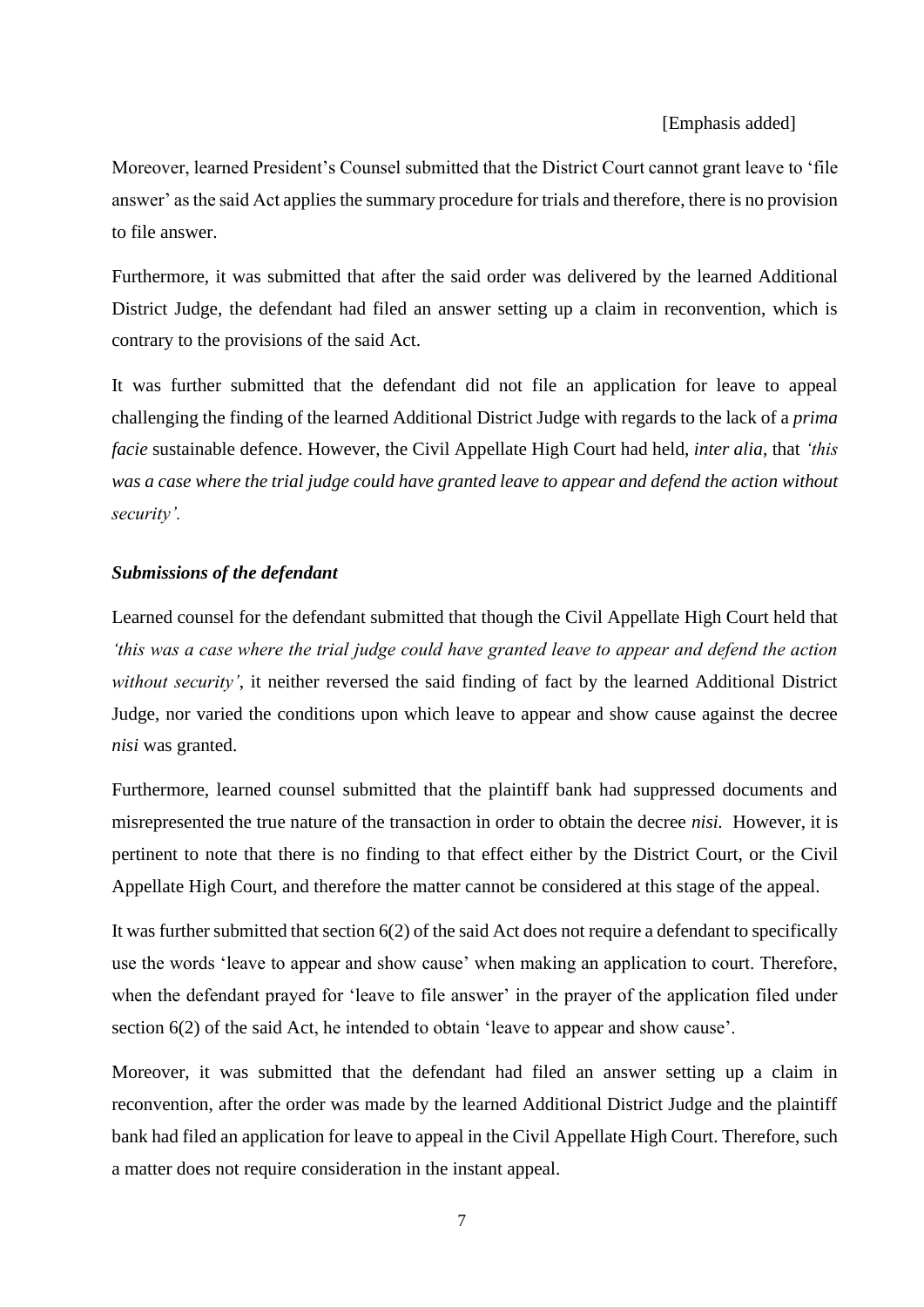#### [Emphasis added]

Moreover, learned President's Counsel submitted that the District Court cannot grant leave to 'file answer' as the said Act applies the summary procedure for trials and therefore, there is no provision to file answer.

Furthermore, it was submitted that after the said order was delivered by the learned Additional District Judge, the defendant had filed an answer setting up a claim in reconvention, which is contrary to the provisions of the said Act.

It was further submitted that the defendant did not file an application for leave to appeal challenging the finding of the learned Additional District Judge with regards to the lack of a *prima facie* sustainable defence. However, the Civil Appellate High Court had held, *inter alia*, that *'this was a case where the trial judge could have granted leave to appear and defend the action without security'.*

#### *Submissions of the defendant*

Learned counsel for the defendant submitted that though the Civil Appellate High Court held that *'this was a case where the trial judge could have granted leave to appear and defend the action without security'*, it neither reversed the said finding of fact by the learned Additional District Judge, nor varied the conditions upon which leave to appear and show cause against the decree *nisi* was granted.

Furthermore, learned counsel submitted that the plaintiff bank had suppressed documents and misrepresented the true nature of the transaction in order to obtain the decree *nisi.* However, it is pertinent to note that there is no finding to that effect either by the District Court, or the Civil Appellate High Court, and therefore the matter cannot be considered at this stage of the appeal.

It was further submitted that section 6(2) of the said Act does not require a defendant to specifically use the words 'leave to appear and show cause' when making an application to court. Therefore, when the defendant prayed for 'leave to file answer' in the prayer of the application filed under section 6(2) of the said Act, he intended to obtain 'leave to appear and show cause'.

Moreover, it was submitted that the defendant had filed an answer setting up a claim in reconvention, after the order was made by the learned Additional District Judge and the plaintiff bank had filed an application for leave to appeal in the Civil Appellate High Court. Therefore, such a matter does not require consideration in the instant appeal.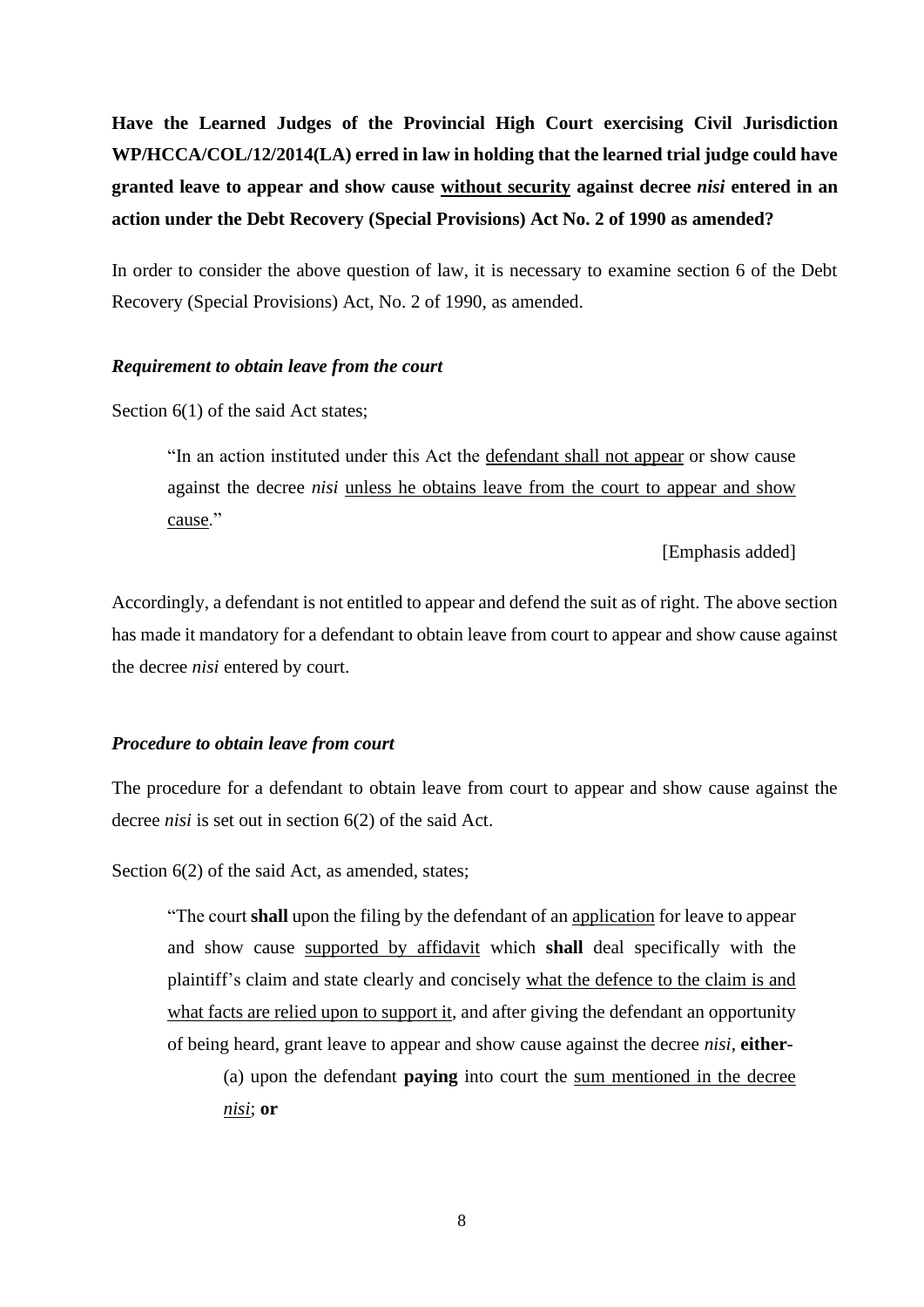**Have the Learned Judges of the Provincial High Court exercising Civil Jurisdiction WP/HCCA/COL/12/2014(LA) erred in law in holding that the learned trial judge could have granted leave to appear and show cause without security against decree** *nisi* **entered in an action under the Debt Recovery (Special Provisions) Act No. 2 of 1990 as amended?**

In order to consider the above question of law, it is necessary to examine section 6 of the Debt Recovery (Special Provisions) Act, No. 2 of 1990, as amended.

#### *Requirement to obtain leave from the court*

Section 6(1) of the said Act states;

"In an action instituted under this Act the defendant shall not appear or show cause against the decree *nisi* unless he obtains leave from the court to appear and show cause."

[Emphasis added]

Accordingly, a defendant is not entitled to appear and defend the suit as of right. The above section has made it mandatory for a defendant to obtain leave from court to appear and show cause against the decree *nisi* entered by court.

#### *Procedure to obtain leave from court*

The procedure for a defendant to obtain leave from court to appear and show cause against the decree *nisi* is set out in section 6(2) of the said Act.

Section  $6(2)$  of the said Act, as amended, states;

"The court **shall** upon the filing by the defendant of an application for leave to appear and show cause supported by affidavit which **shall** deal specifically with the plaintiff's claim and state clearly and concisely what the defence to the claim is and what facts are relied upon to support it, and after giving the defendant an opportunity of being heard, grant leave to appear and show cause against the decree *nisi*, **either-**

(a) upon the defendant **paying** into court the sum mentioned in the decree *nisi*; **or**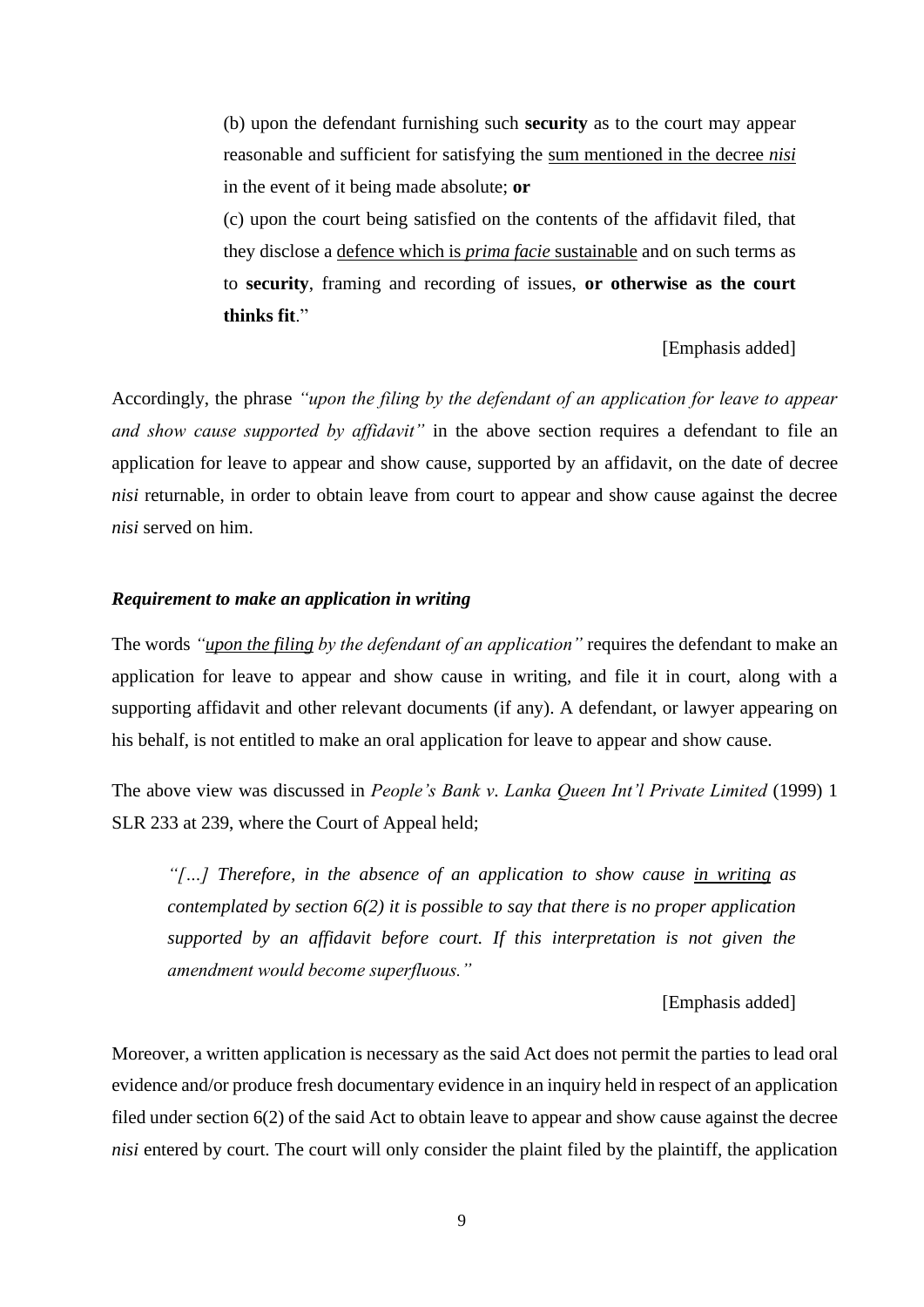(b) upon the defendant furnishing such **security** as to the court may appear reasonable and sufficient for satisfying the sum mentioned in the decree *nisi* in the event of it being made absolute; **or**

(c) upon the court being satisfied on the contents of the affidavit filed, that they disclose a defence which is *prima facie* sustainable and on such terms as to **security**, framing and recording of issues, **or otherwise as the court thinks fit**."

#### [Emphasis added]

Accordingly, the phrase *"upon the filing by the defendant of an application for leave to appear and show cause supported by affidavit"* in the above section requires a defendant to file an application for leave to appear and show cause, supported by an affidavit, on the date of decree *nisi* returnable, in order to obtain leave from court to appear and show cause against the decree *nisi* served on him.

#### *Requirement to make an application in writing*

The words *"upon the filing by the defendant of an application"* requires the defendant to make an application for leave to appear and show cause in writing, and file it in court, along with a supporting affidavit and other relevant documents (if any). A defendant, or lawyer appearing on his behalf, is not entitled to make an oral application for leave to appear and show cause.

The above view was discussed in *People's Bank v. Lanka Queen Int'l Private Limited* (1999) 1 SLR 233 at 239, where the Court of Appeal held;

*"[…] Therefore, in the absence of an application to show cause in writing as contemplated by section 6(2) it is possible to say that there is no proper application supported by an affidavit before court. If this interpretation is not given the amendment would become superfluous."*

[Emphasis added]

Moreover, a written application is necessary as the said Act does not permit the parties to lead oral evidence and/or produce fresh documentary evidence in an inquiry held in respect of an application filed under section 6(2) of the said Act to obtain leave to appear and show cause against the decree *nisi* entered by court. The court will only consider the plaint filed by the plaintiff, the application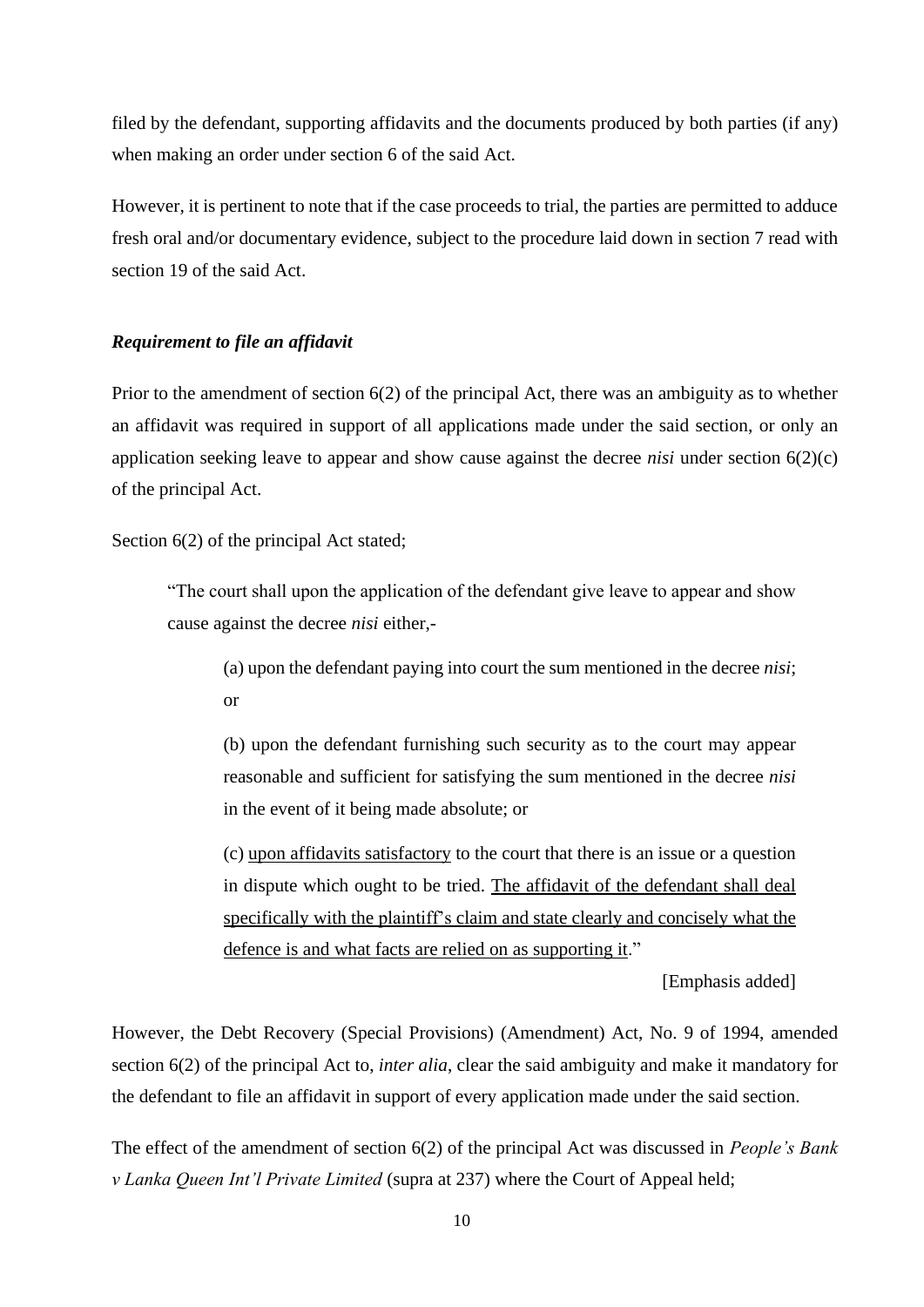filed by the defendant, supporting affidavits and the documents produced by both parties (if any) when making an order under section 6 of the said Act.

However, it is pertinent to note that if the case proceeds to trial, the parties are permitted to adduce fresh oral and/or documentary evidence, subject to the procedure laid down in section 7 read with section 19 of the said Act.

# *Requirement to file an affidavit*

Prior to the amendment of section 6(2) of the principal Act, there was an ambiguity as to whether an affidavit was required in support of all applications made under the said section, or only an application seeking leave to appear and show cause against the decree *nisi* under section 6(2)(c) of the principal Act.

Section  $6(2)$  of the principal Act stated;

"The court shall upon the application of the defendant give leave to appear and show cause against the decree *nisi* either,-

(a) upon the defendant paying into court the sum mentioned in the decree *nisi*; or

(b) upon the defendant furnishing such security as to the court may appear reasonable and sufficient for satisfying the sum mentioned in the decree *nisi* in the event of it being made absolute; or

(c) upon affidavits satisfactory to the court that there is an issue or a question in dispute which ought to be tried. The affidavit of the defendant shall deal specifically with the plaintiff's claim and state clearly and concisely what the defence is and what facts are relied on as supporting it."

[Emphasis added]

However, the Debt Recovery (Special Provisions) (Amendment) Act, No. 9 of 1994, amended section 6(2) of the principal Act to, *inter alia*, clear the said ambiguity and make it mandatory for the defendant to file an affidavit in support of every application made under the said section.

The effect of the amendment of section 6(2) of the principal Act was discussed in *People's Bank v Lanka Queen Int'l Private Limited* (supra at 237) where the Court of Appeal held;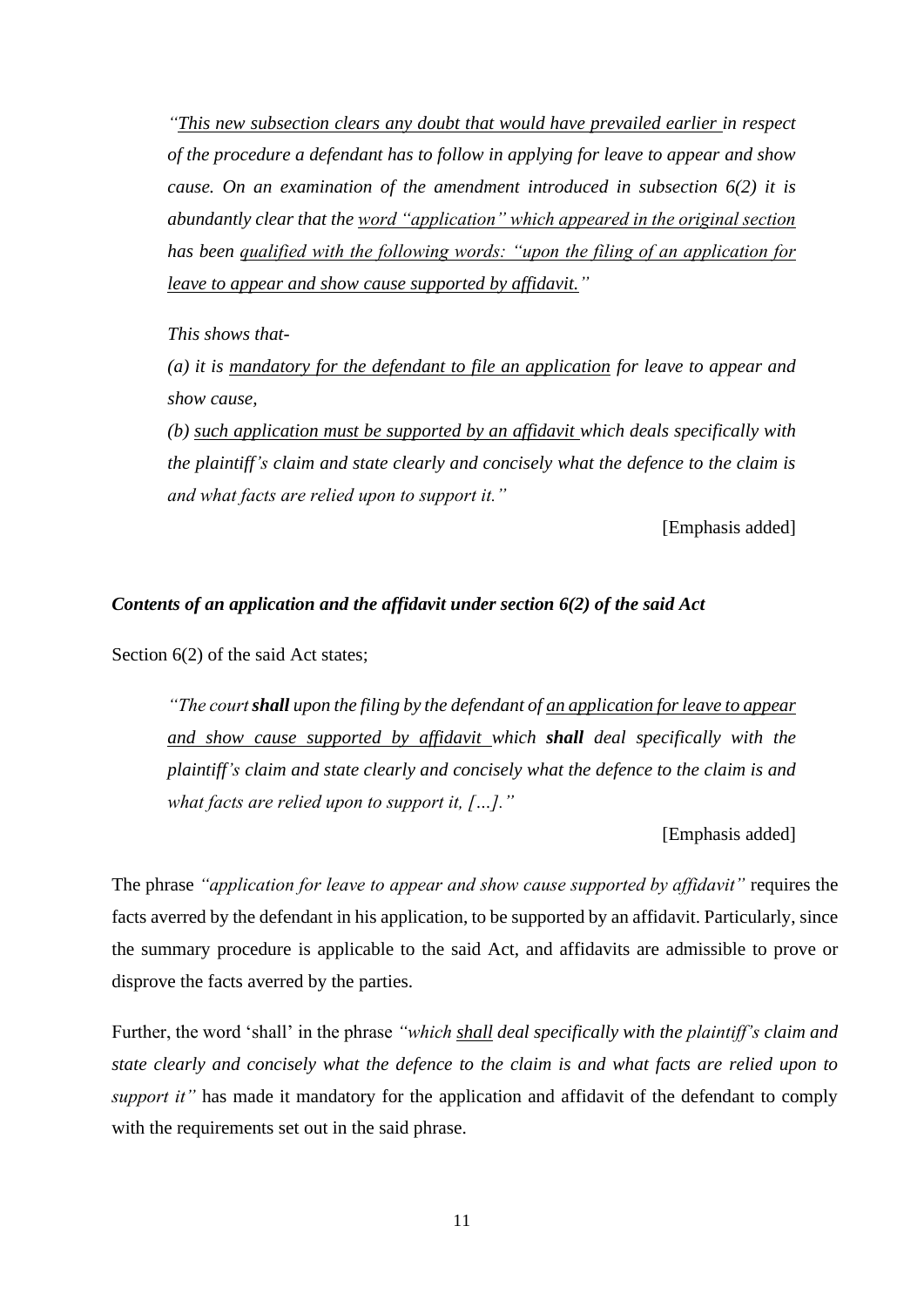*"This new subsection clears any doubt that would have prevailed earlier in respect of the procedure a defendant has to follow in applying for leave to appear and show cause. On an examination of the amendment introduced in subsection 6(2) it is abundantly clear that the word "application" which appeared in the original section has been qualified with the following words: "upon the filing of an application for leave to appear and show cause supported by affidavit."* 

*This shows that-*

*(a) it is mandatory for the defendant to file an application for leave to appear and show cause,*

*(b) such application must be supported by an affidavit which deals specifically with the plaintiff's claim and state clearly and concisely what the defence to the claim is and what facts are relied upon to support it."*

[Emphasis added]

#### *Contents of an application and the affidavit under section 6(2) of the said Act*

Section  $6(2)$  of the said Act states;

*"The court shall upon the filing by the defendant of an application for leave to appear and show cause supported by affidavit which shall deal specifically with the plaintiff's claim and state clearly and concisely what the defence to the claim is and what facts are relied upon to support it, […]."*

[Emphasis added]

The phrase *"application for leave to appear and show cause supported by affidavit"* requires the facts averred by the defendant in his application, to be supported by an affidavit. Particularly, since the summary procedure is applicable to the said Act, and affidavits are admissible to prove or disprove the facts averred by the parties.

Further, the word 'shall' in the phrase *"which shall deal specifically with the plaintiff's claim and state clearly and concisely what the defence to the claim is and what facts are relied upon to support it*" has made it mandatory for the application and affidavit of the defendant to comply with the requirements set out in the said phrase.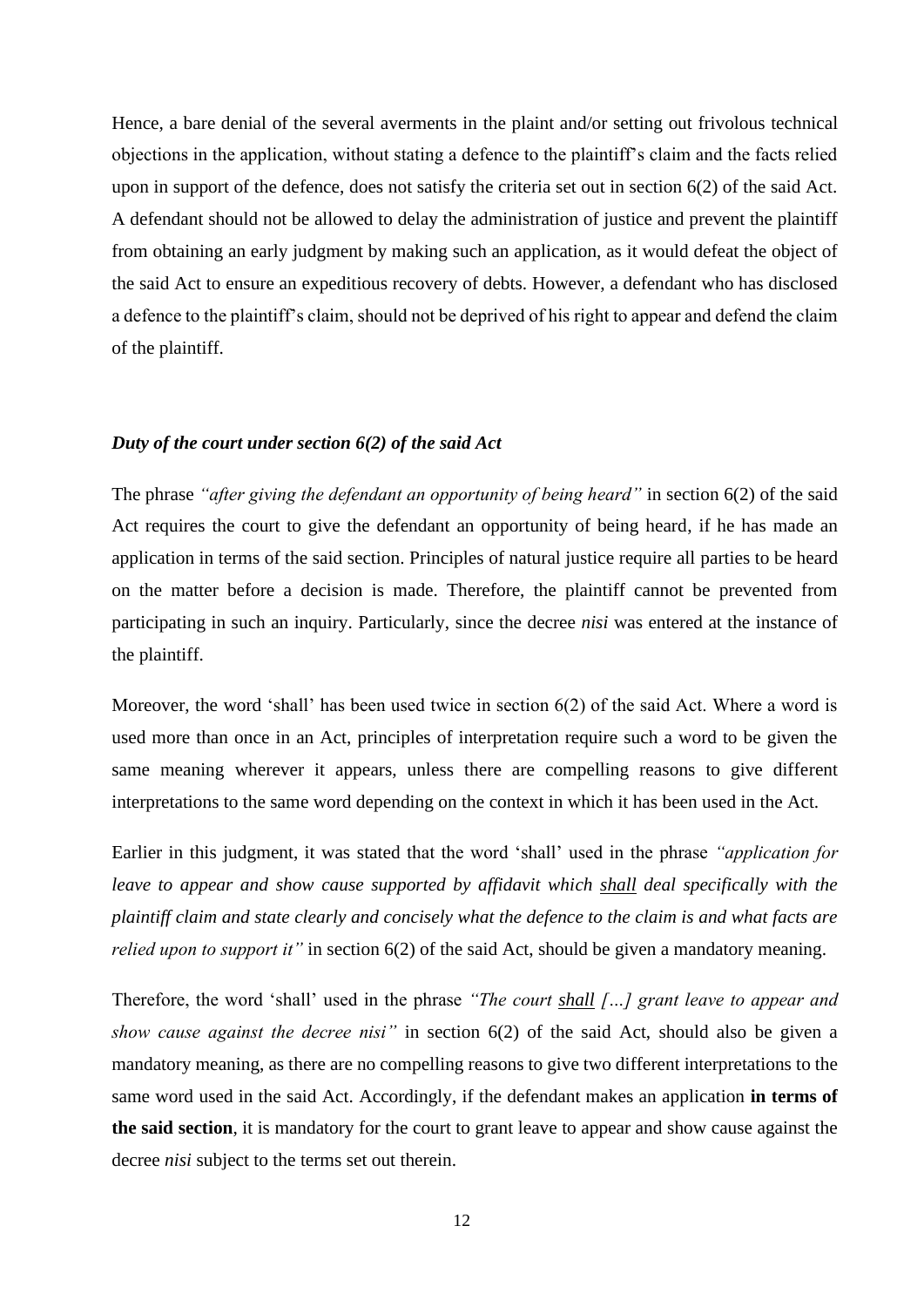Hence, a bare denial of the several averments in the plaint and/or setting out frivolous technical objections in the application, without stating a defence to the plaintiff's claim and the facts relied upon in support of the defence, does not satisfy the criteria set out in section 6(2) of the said Act. A defendant should not be allowed to delay the administration of justice and prevent the plaintiff from obtaining an early judgment by making such an application, as it would defeat the object of the said Act to ensure an expeditious recovery of debts. However, a defendant who has disclosed a defence to the plaintiff's claim, should not be deprived of his right to appear and defend the claim of the plaintiff.

#### *Duty of the court under section 6(2) of the said Act*

The phrase *"after giving the defendant an opportunity of being heard"* in section 6(2) of the said Act requires the court to give the defendant an opportunity of being heard, if he has made an application in terms of the said section. Principles of natural justice require all parties to be heard on the matter before a decision is made. Therefore, the plaintiff cannot be prevented from participating in such an inquiry. Particularly, since the decree *nisi* was entered at the instance of the plaintiff.

Moreover, the word 'shall' has been used twice in section 6(2) of the said Act. Where a word is used more than once in an Act, principles of interpretation require such a word to be given the same meaning wherever it appears, unless there are compelling reasons to give different interpretations to the same word depending on the context in which it has been used in the Act.

Earlier in this judgment, it was stated that the word 'shall' used in the phrase *"application for leave to appear and show cause supported by affidavit which shall deal specifically with the plaintiff claim and state clearly and concisely what the defence to the claim is and what facts are relied upon to support it*" in section 6(2) of the said Act, should be given a mandatory meaning.

Therefore, the word 'shall' used in the phrase *"The court shall […] grant leave to appear and show cause against the decree nisi"* in section 6(2) of the said Act, should also be given a mandatory meaning, as there are no compelling reasons to give two different interpretations to the same word used in the said Act. Accordingly, if the defendant makes an application **in terms of the said section**, it is mandatory for the court to grant leave to appear and show cause against the decree *nisi* subject to the terms set out therein.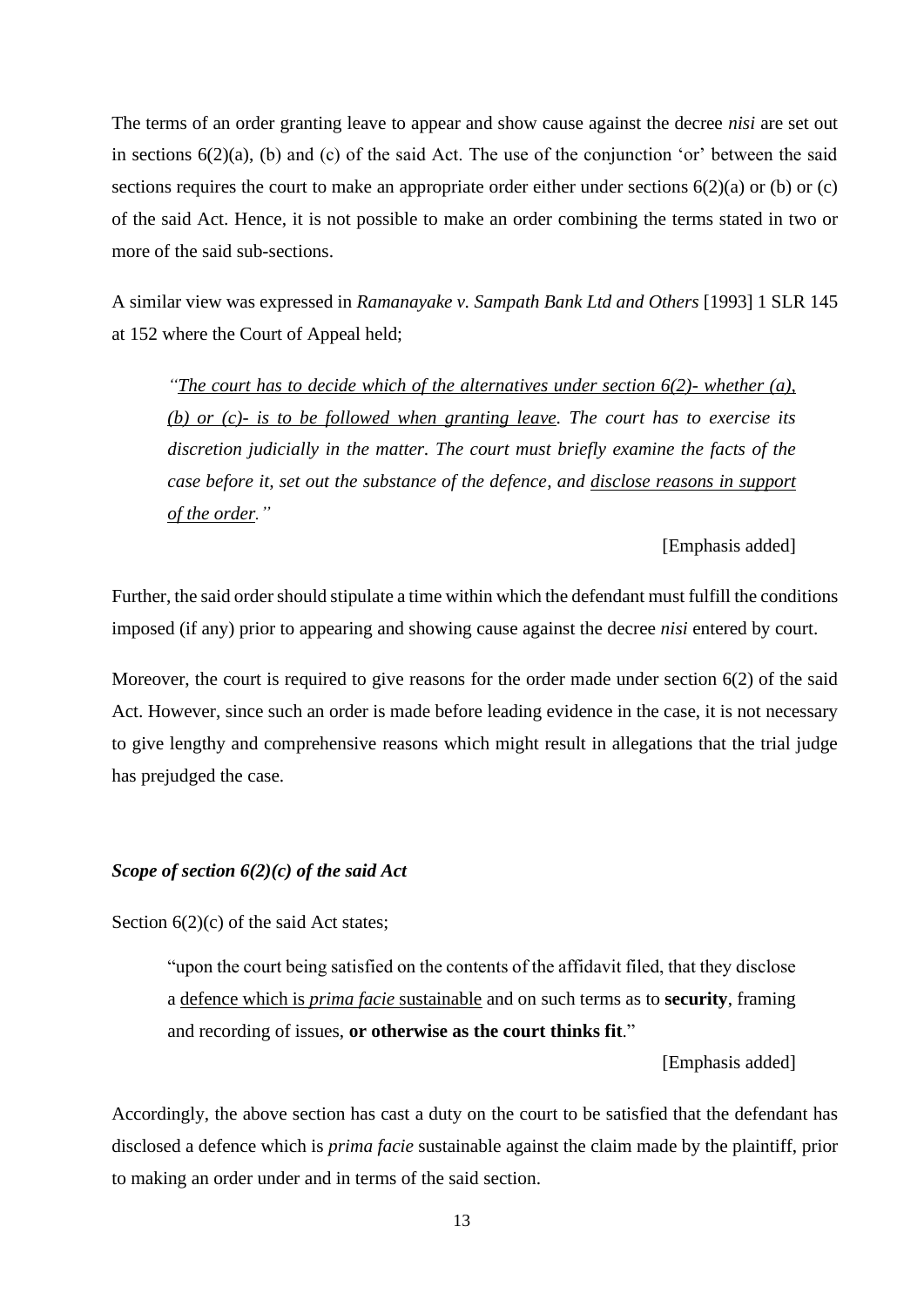The terms of an order granting leave to appear and show cause against the decree *nisi* are set out in sections 6(2)(a), (b) and (c) of the said Act. The use of the conjunction 'or' between the said sections requires the court to make an appropriate order either under sections  $6(2)(a)$  or (b) or (c) of the said Act. Hence, it is not possible to make an order combining the terms stated in two or more of the said sub-sections.

A similar view was expressed in *Ramanayake v. Sampath Bank Ltd and Others* [1993] 1 SLR 145 at 152 where the Court of Appeal held;

*"The court has to decide which of the alternatives under section 6(2)- whether (a), (b) or (c)- is to be followed when granting leave. The court has to exercise its discretion judicially in the matter. The court must briefly examine the facts of the case before it, set out the substance of the defence, and disclose reasons in support of the order."*

#### [Emphasis added]

Further, the said order should stipulate a time within which the defendant must fulfill the conditions imposed (if any) prior to appearing and showing cause against the decree *nisi* entered by court.

Moreover, the court is required to give reasons for the order made under section 6(2) of the said Act. However, since such an order is made before leading evidence in the case, it is not necessary to give lengthy and comprehensive reasons which might result in allegations that the trial judge has prejudged the case.

# *Scope of section 6(2)(c) of the said Act*

Section  $6(2)(c)$  of the said Act states;

"upon the court being satisfied on the contents of the affidavit filed, that they disclose a defence which is *prima facie* sustainable and on such terms as to **security**, framing and recording of issues, **or otherwise as the court thinks fit**."

[Emphasis added]

Accordingly, the above section has cast a duty on the court to be satisfied that the defendant has disclosed a defence which is *prima facie* sustainable against the claim made by the plaintiff, prior to making an order under and in terms of the said section.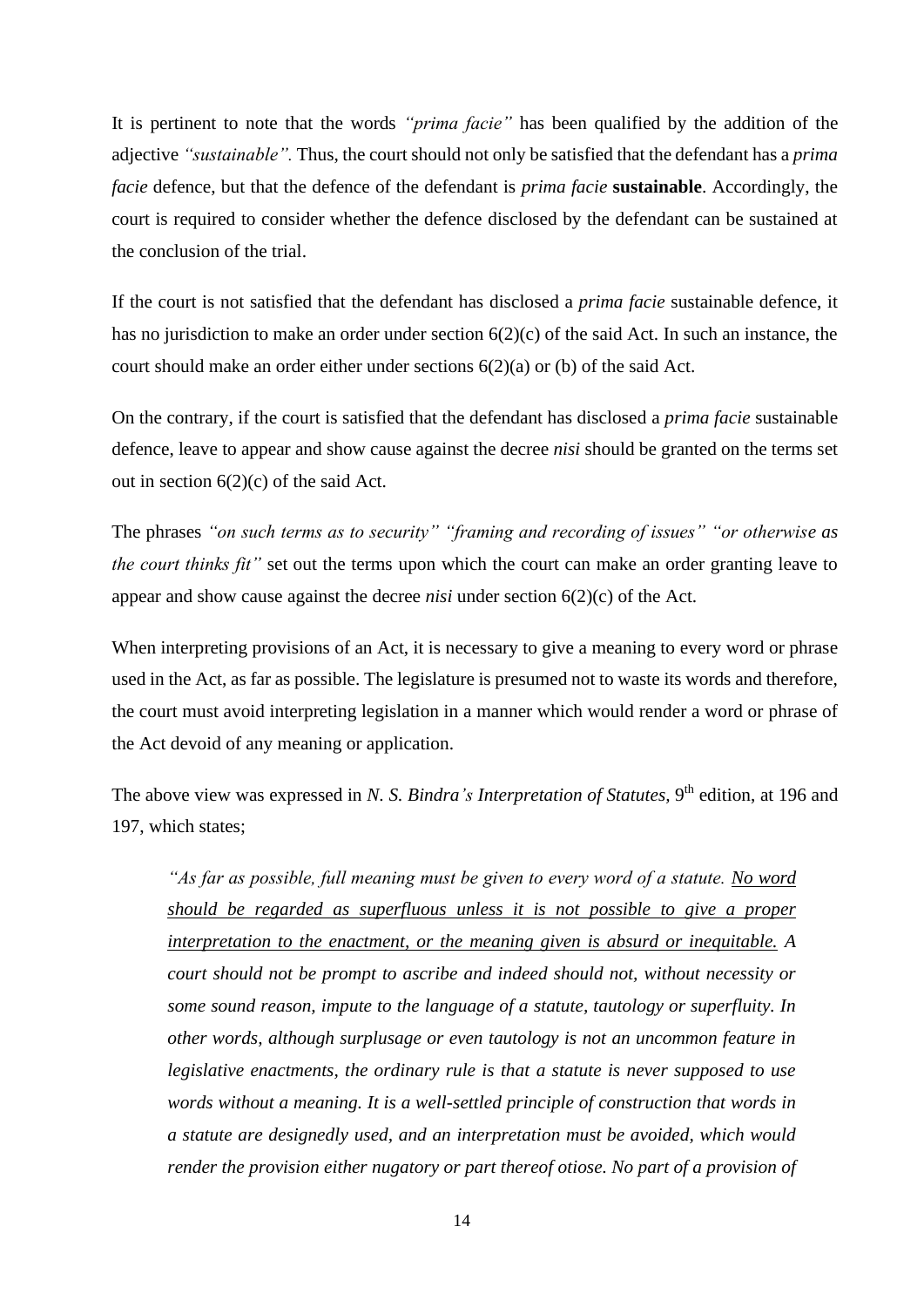It is pertinent to note that the words *"prima facie"* has been qualified by the addition of the adjective *"sustainable".* Thus, the court should not only be satisfied that the defendant has a *prima facie* defence, but that the defence of the defendant is *prima facie* **sustainable**. Accordingly, the court is required to consider whether the defence disclosed by the defendant can be sustained at the conclusion of the trial.

If the court is not satisfied that the defendant has disclosed a *prima facie* sustainable defence, it has no jurisdiction to make an order under section 6(2)(c) of the said Act. In such an instance, the court should make an order either under sections  $6(2)(a)$  or (b) of the said Act.

On the contrary, if the court is satisfied that the defendant has disclosed a *prima facie* sustainable defence, leave to appear and show cause against the decree *nisi* should be granted on the terms set out in section  $6(2)(c)$  of the said Act.

The phrases *"on such terms as to security" "framing and recording of issues" "or otherwise as the court thinks fit"* set out the terms upon which the court can make an order granting leave to appear and show cause against the decree *nisi* under section 6(2)(c) of the Act.

When interpreting provisions of an Act, it is necessary to give a meaning to every word or phrase used in the Act, as far as possible. The legislature is presumed not to waste its words and therefore, the court must avoid interpreting legislation in a manner which would render a word or phrase of the Act devoid of any meaning or application.

The above view was expressed in *N. S. Bindra's Interpretation of Statutes*, 9<sup>th</sup> edition, at 196 and 197, which states;

*"As far as possible, full meaning must be given to every word of a statute. No word should be regarded as superfluous unless it is not possible to give a proper interpretation to the enactment, or the meaning given is absurd or inequitable. A court should not be prompt to ascribe and indeed should not, without necessity or some sound reason, impute to the language of a statute, tautology or superfluity. In other words, although surplusage or even tautology is not an uncommon feature in legislative enactments, the ordinary rule is that a statute is never supposed to use words without a meaning. It is a well-settled principle of construction that words in a statute are designedly used, and an interpretation must be avoided, which would render the provision either nugatory or part thereof otiose. No part of a provision of*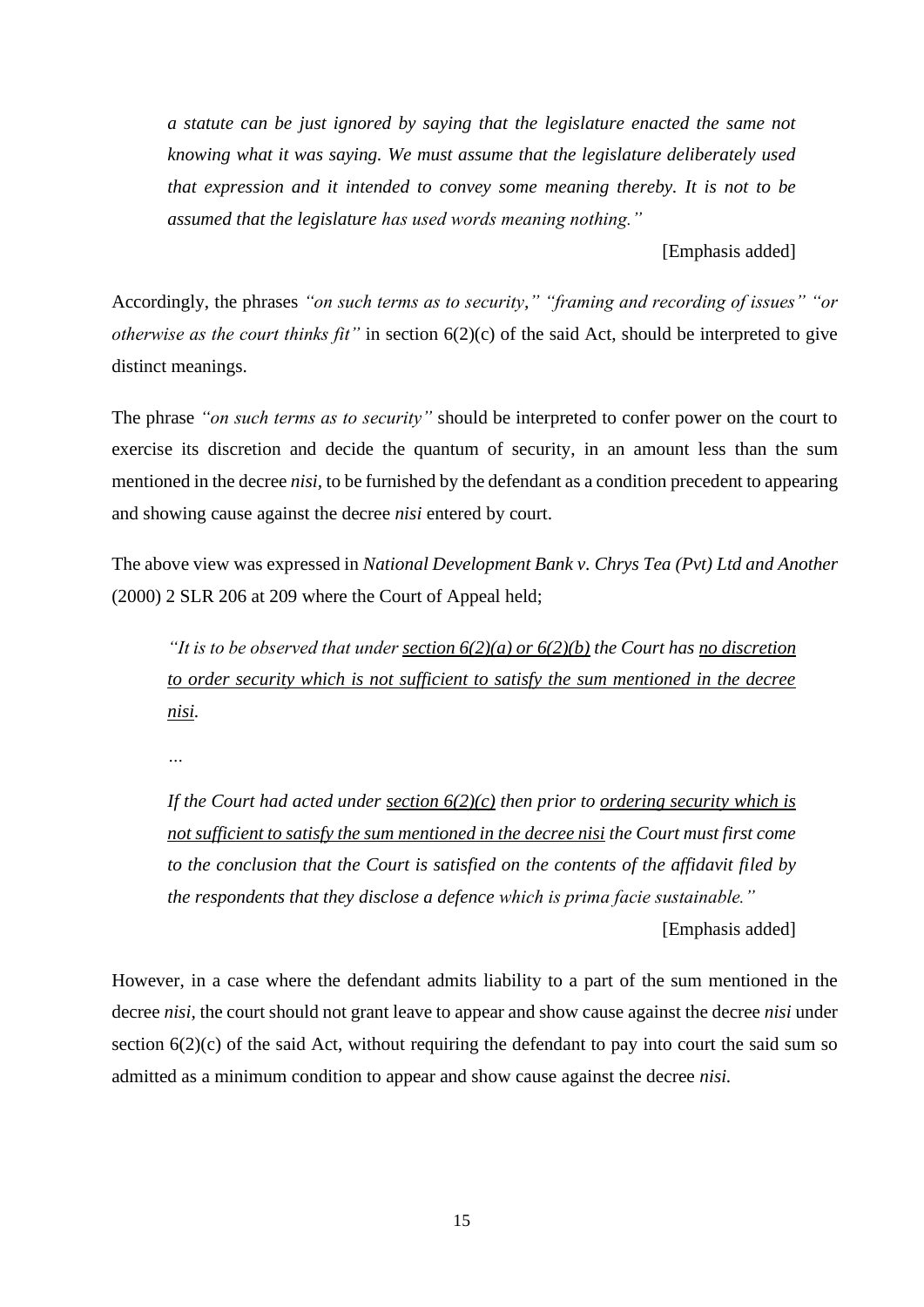*a statute can be just ignored by saying that the legislature enacted the same not knowing what it was saying. We must assume that the legislature deliberately used that expression and it intended to convey some meaning thereby. It is not to be assumed that the legislature has used words meaning nothing."*

[Emphasis added]

Accordingly, the phrases *"on such terms as to security," "framing and recording of issues" "or otherwise as the court thinks fit"* in section 6(2)(c) of the said Act, should be interpreted to give distinct meanings.

The phrase *"on such terms as to security"* should be interpreted to confer power on the court to exercise its discretion and decide the quantum of security, in an amount less than the sum mentioned in the decree *nisi,* to be furnished by the defendant as a condition precedent to appearing and showing cause against the decree *nisi* entered by court.

The above view was expressed in *National Development Bank v. Chrys Tea (Pvt) Ltd and Another* (2000) 2 SLR 206 at 209 where the Court of Appeal held;

*"It is to be observed that under section 6(2)(a) or 6(2)(b) the Court has no discretion to order security which is not sufficient to satisfy the sum mentioned in the decree nisi.*

*…*

*If the Court had acted under section 6(2)(c) then prior to ordering security which is not sufficient to satisfy the sum mentioned in the decree nisi the Court must first come to the conclusion that the Court is satisfied on the contents of the affidavit filed by the respondents that they disclose a defence which is prima facie sustainable."* 

[Emphasis added]

However, in a case where the defendant admits liability to a part of the sum mentioned in the decree *nisi,* the court should not grant leave to appear and show cause against the decree *nisi* under section  $6(2)(c)$  of the said Act, without requiring the defendant to pay into court the said sum so admitted as a minimum condition to appear and show cause against the decree *nisi.*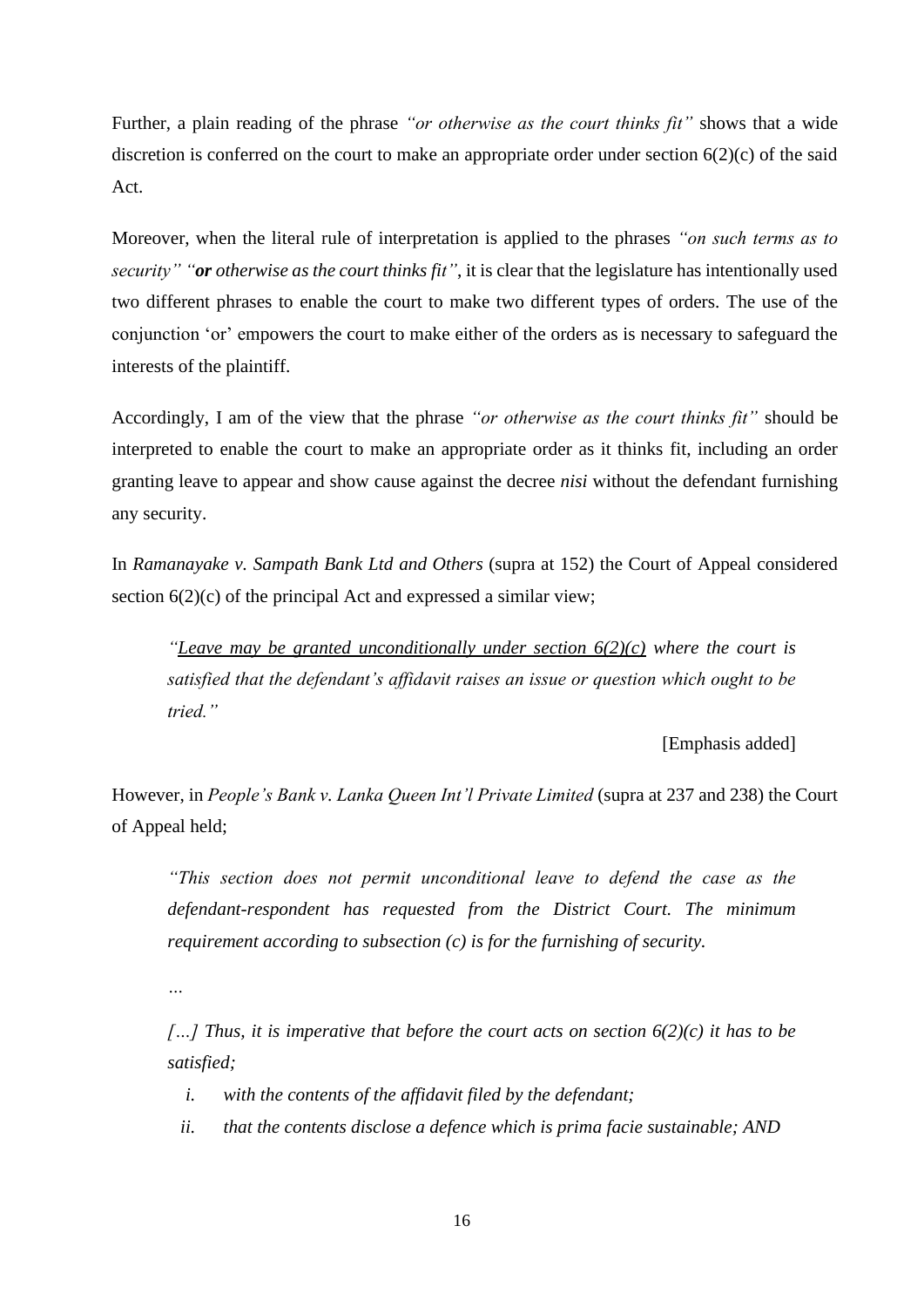Further, a plain reading of the phrase *"or otherwise as the court thinks fit"* shows that a wide discretion is conferred on the court to make an appropriate order under section  $6(2)(c)$  of the said Act.

Moreover, when the literal rule of interpretation is applied to the phrases *"on such terms as to security" "or otherwise as the court thinks fit"*, it is clear that the legislature has intentionally used two different phrases to enable the court to make two different types of orders. The use of the conjunction 'or' empowers the court to make either of the orders as is necessary to safeguard the interests of the plaintiff.

Accordingly, I am of the view that the phrase *"or otherwise as the court thinks fit"* should be interpreted to enable the court to make an appropriate order as it thinks fit, including an order granting leave to appear and show cause against the decree *nisi* without the defendant furnishing any security.

In *Ramanayake v. Sampath Bank Ltd and Others* (supra at 152) the Court of Appeal considered section  $6(2)(c)$  of the principal Act and expressed a similar view;

*"Leave may be granted unconditionally under section 6(2)(c) where the court is satisfied that the defendant's affidavit raises an issue or question which ought to be tried."*

[Emphasis added]

However, in *People's Bank v. Lanka Queen Int'l Private Limited* (supra at 237 and 238) the Court of Appeal held;

*"This section does not permit unconditional leave to defend the case as the defendant-respondent has requested from the District Court. The minimum requirement according to subsection (c) is for the furnishing of security.*

*…*

*[…] Thus, it is imperative that before the court acts on section 6(2)(c) it has to be satisfied;*

- *i. with the contents of the affidavit filed by the defendant;*
- *ii. that the contents disclose a defence which is prima facie sustainable; AND*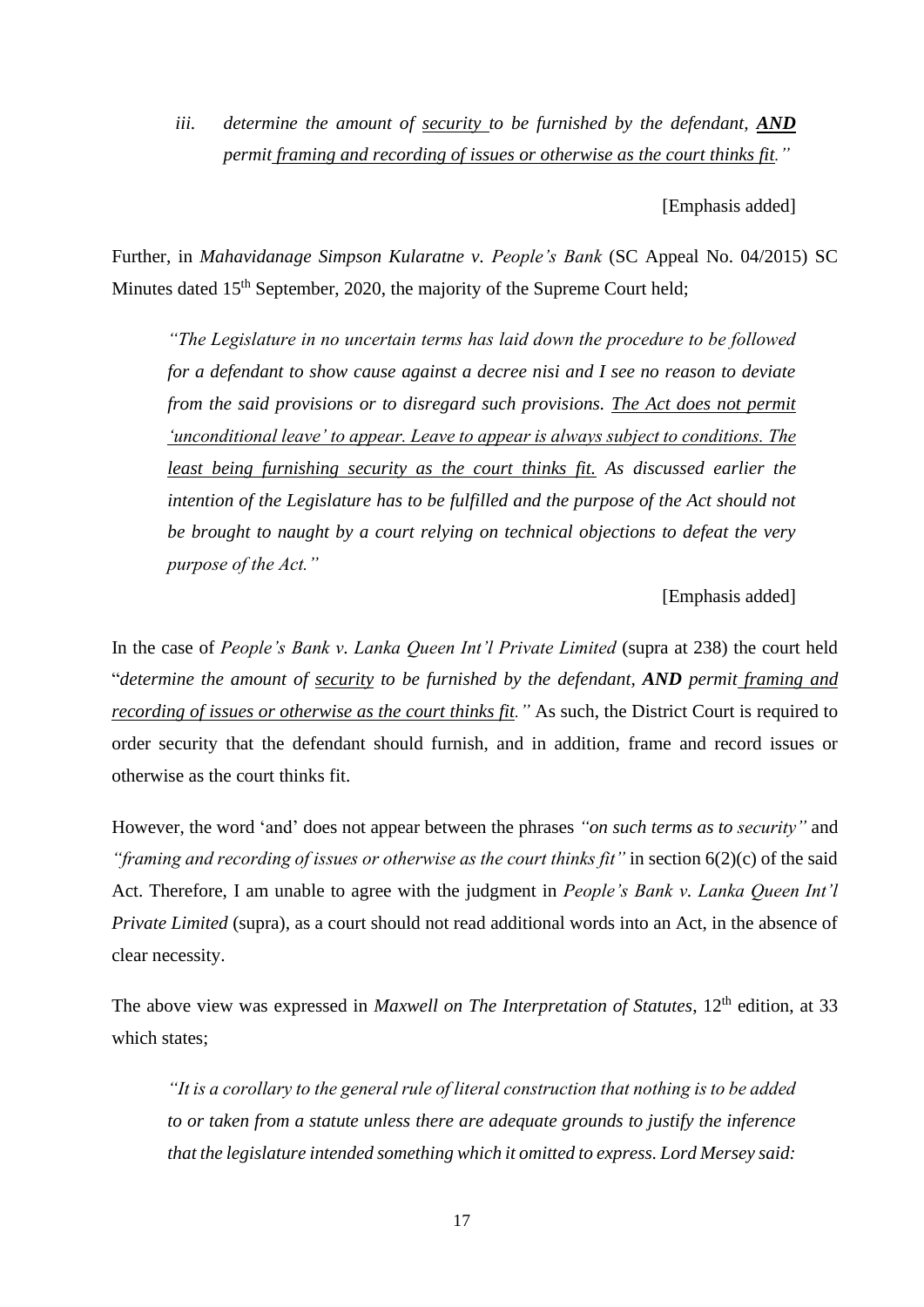*iii. determine the amount of security to be furnished by the defendant, AND permit framing and recording of issues or otherwise as the court thinks fit."*

[Emphasis added]

Further, in *Mahavidanage Simpson Kularatne v. People's Bank* (SC Appeal No. 04/2015) SC Minutes dated 15<sup>th</sup> September, 2020, the majority of the Supreme Court held;

*"The Legislature in no uncertain terms has laid down the procedure to be followed for a defendant to show cause against a decree nisi and I see no reason to deviate from the said provisions or to disregard such provisions. The Act does not permit 'unconditional leave' to appear. Leave to appear is always subject to conditions. The least being furnishing security as the court thinks fit. As discussed earlier the intention of the Legislature has to be fulfilled and the purpose of the Act should not be brought to naught by a court relying on technical objections to defeat the very purpose of the Act."*

[Emphasis added]

In the case of *People's Bank v. Lanka Queen Int'l Private Limited* (supra at 238) the court held "*determine the amount of security to be furnished by the defendant, AND permit framing and recording of issues or otherwise as the court thinks fit."* As such, the District Court is required to order security that the defendant should furnish, and in addition, frame and record issues or otherwise as the court thinks fit.

However, the word 'and' does not appear between the phrases *"on such terms as to security"* and *"framing and recording of issues or otherwise as the court thinks fit"* in section 6(2)(c) of the said Act. Therefore, I am unable to agree with the judgment in *People's Bank v. Lanka Queen Int'l Private Limited* (supra), as a court should not read additional words into an Act, in the absence of clear necessity.

The above view was expressed in *Maxwell on The Interpretation of Statutes*, 12<sup>th</sup> edition, at 33 which states;

*"It is a corollary to the general rule of literal construction that nothing is to be added to or taken from a statute unless there are adequate grounds to justify the inference that the legislature intended something which it omitted to express. Lord Mersey said:*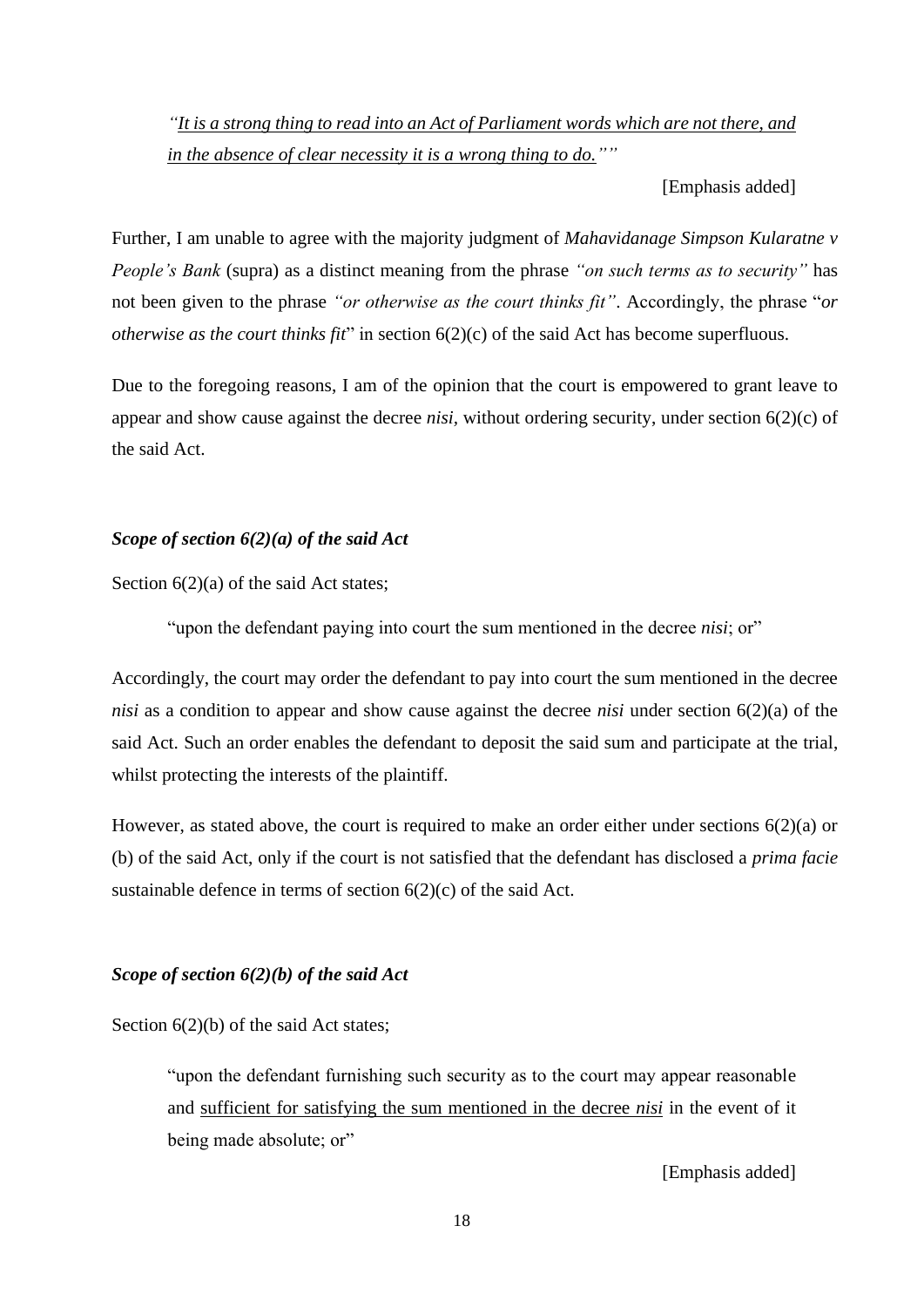*"It is a strong thing to read into an Act of Parliament words which are not there, and in the absence of clear necessity it is a wrong thing to do.""*

[Emphasis added]

Further, I am unable to agree with the majority judgment of *Mahavidanage Simpson Kularatne v People's Bank* (supra) as a distinct meaning from the phrase *"on such terms as to security"* has not been given to the phrase *"or otherwise as the court thinks fit"*. Accordingly, the phrase "*or otherwise as the court thinks fit*" in section  $6(2)(c)$  of the said Act has become superfluous.

Due to the foregoing reasons, I am of the opinion that the court is empowered to grant leave to appear and show cause against the decree *nisi,* without ordering security, under section 6(2)(c) of the said Act.

# *Scope of section 6(2)(a) of the said Act*

Section  $6(2)(a)$  of the said Act states;

"upon the defendant paying into court the sum mentioned in the decree *nisi*; or"

Accordingly, the court may order the defendant to pay into court the sum mentioned in the decree *nisi* as a condition to appear and show cause against the decree *nisi* under section 6(2)(a) of the said Act. Such an order enables the defendant to deposit the said sum and participate at the trial, whilst protecting the interests of the plaintiff.

However, as stated above, the court is required to make an order either under sections 6(2)(a) or (b) of the said Act, only if the court is not satisfied that the defendant has disclosed a *prima facie*  sustainable defence in terms of section 6(2)(c) of the said Act.

# *Scope of section 6(2)(b) of the said Act*

Section  $6(2)(b)$  of the said Act states;

"upon the defendant furnishing such security as to the court may appear reasonable and sufficient for satisfying the sum mentioned in the decree *nisi* in the event of it being made absolute; or"

[Emphasis added]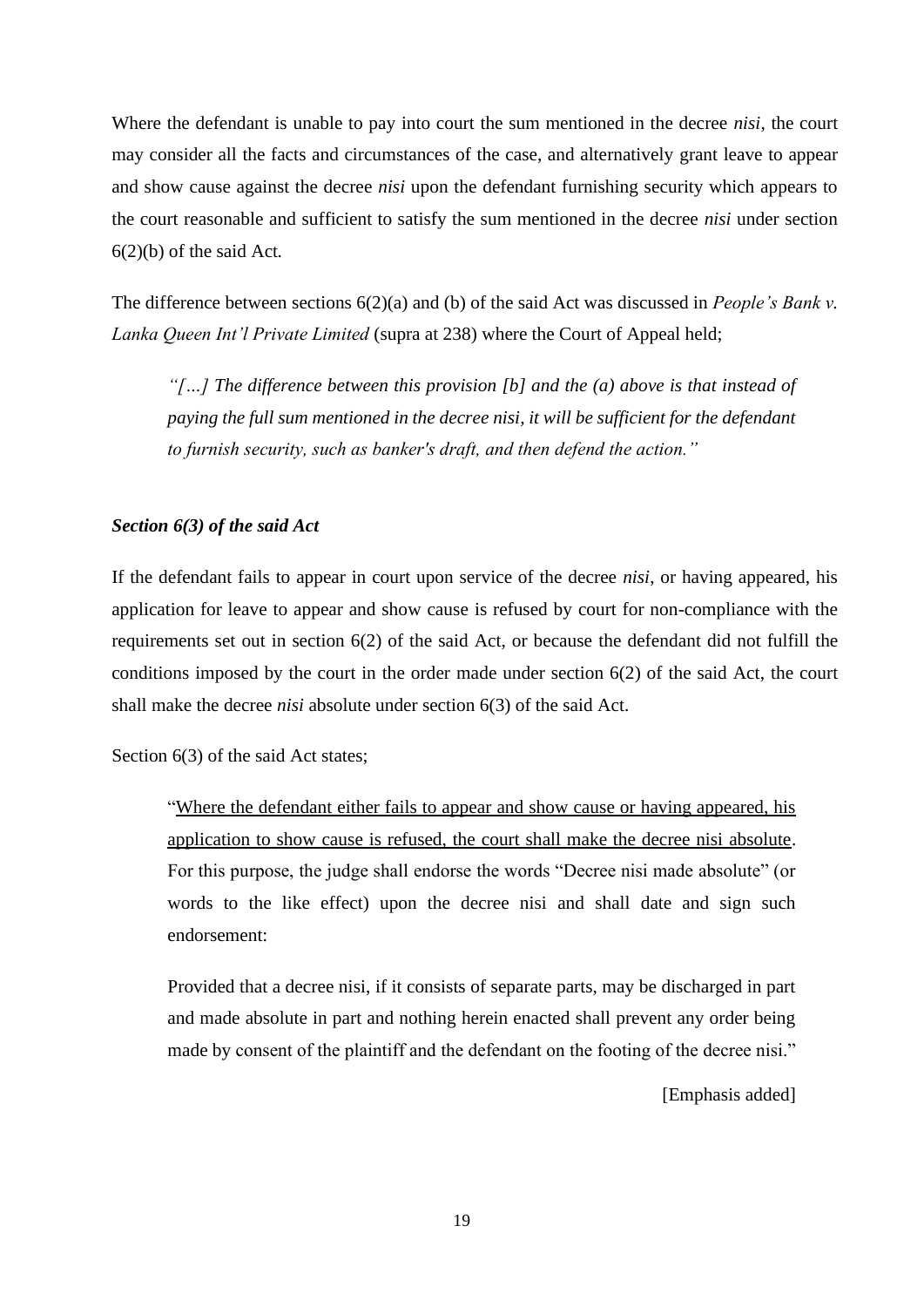Where the defendant is unable to pay into court the sum mentioned in the decree *nisi,* the court may consider all the facts and circumstances of the case, and alternatively grant leave to appear and show cause against the decree *nisi* upon the defendant furnishing security which appears to the court reasonable and sufficient to satisfy the sum mentioned in the decree *nisi* under section 6(2)(b) of the said Act*.*

The difference between sections 6(2)(a) and (b) of the said Act was discussed in *People's Bank v. Lanka Queen Int'l Private Limited* (supra at 238) where the Court of Appeal held;

*"[…] The difference between this provision [b] and the (a) above is that instead of paying the full sum mentioned in the decree nisi, it will be sufficient for the defendant to furnish security, such as banker's draft, and then defend the action."*

# *Section 6(3) of the said Act*

If the defendant fails to appear in court upon service of the decree *nisi*, or having appeared, his application for leave to appear and show cause is refused by court for non-compliance with the requirements set out in section 6(2) of the said Act, or because the defendant did not fulfill the conditions imposed by the court in the order made under section 6(2) of the said Act, the court shall make the decree *nisi* absolute under section 6(3) of the said Act.

Section 6(3) of the said Act states;

"Where the defendant either fails to appear and show cause or having appeared, his application to show cause is refused, the court shall make the decree nisi absolute. For this purpose, the judge shall endorse the words "Decree nisi made absolute" (or words to the like effect) upon the decree nisi and shall date and sign such endorsement:

Provided that a decree nisi, if it consists of separate parts, may be discharged in part and made absolute in part and nothing herein enacted shall prevent any order being made by consent of the plaintiff and the defendant on the footing of the decree nisi."

[Emphasis added]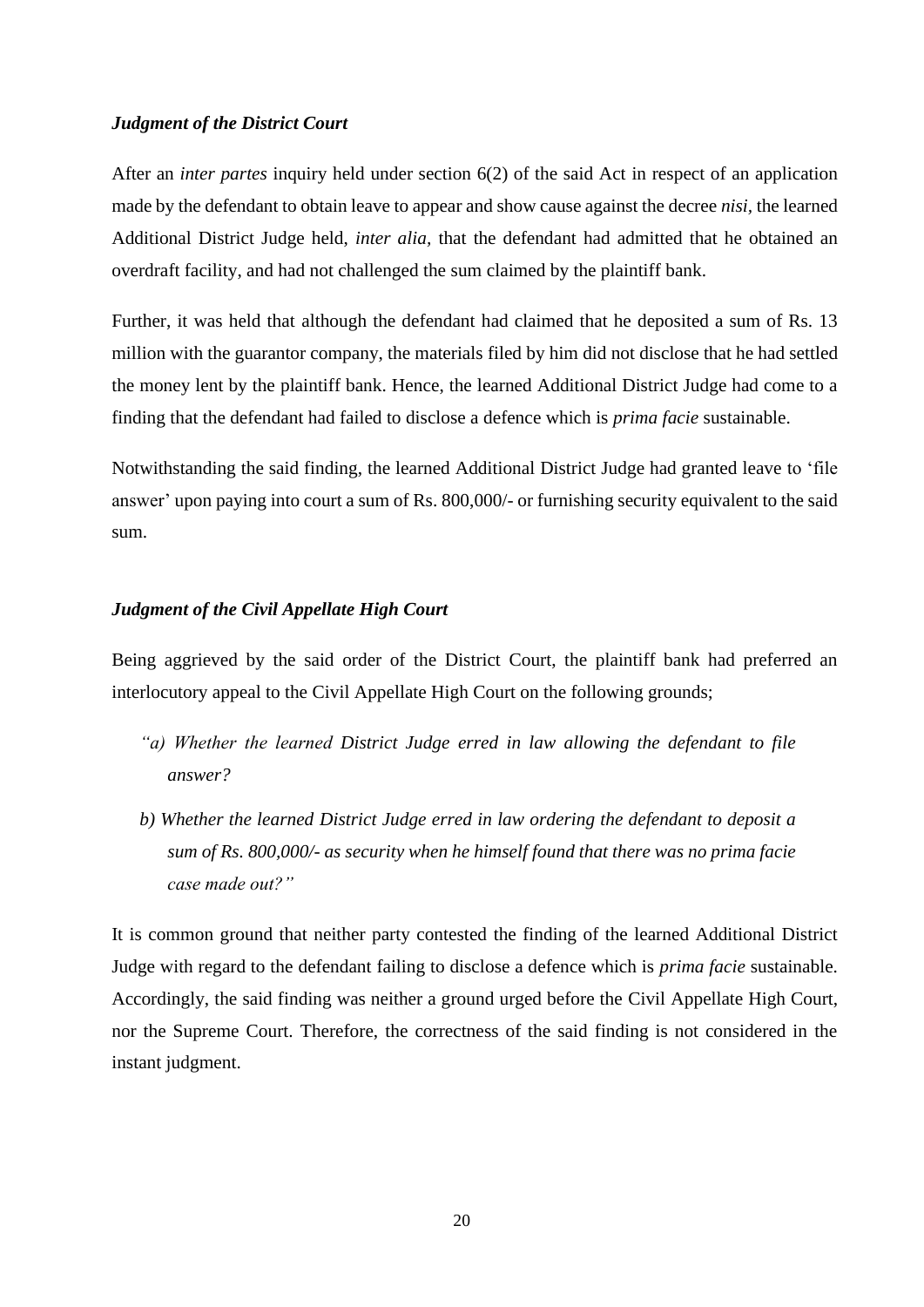#### *Judgment of the District Court*

After an *inter partes* inquiry held under section 6(2) of the said Act in respect of an application made by the defendant to obtain leave to appear and show cause against the decree *nisi,* the learned Additional District Judge held, *inter alia,* that the defendant had admitted that he obtained an overdraft facility, and had not challenged the sum claimed by the plaintiff bank.

Further, it was held that although the defendant had claimed that he deposited a sum of Rs. 13 million with the guarantor company, the materials filed by him did not disclose that he had settled the money lent by the plaintiff bank. Hence, the learned Additional District Judge had come to a finding that the defendant had failed to disclose a defence which is *prima facie* sustainable.

Notwithstanding the said finding, the learned Additional District Judge had granted leave to 'file answer' upon paying into court a sum of Rs. 800,000/- or furnishing security equivalent to the said sum.

#### *Judgment of the Civil Appellate High Court*

Being aggrieved by the said order of the District Court, the plaintiff bank had preferred an interlocutory appeal to the Civil Appellate High Court on the following grounds;

- *"a) Whether the learned District Judge erred in law allowing the defendant to file answer?*
- *b) Whether the learned District Judge erred in law ordering the defendant to deposit a sum of Rs. 800,000/- as security when he himself found that there was no prima facie case made out?"*

It is common ground that neither party contested the finding of the learned Additional District Judge with regard to the defendant failing to disclose a defence which is *prima facie* sustainable. Accordingly, the said finding was neither a ground urged before the Civil Appellate High Court, nor the Supreme Court. Therefore, the correctness of the said finding is not considered in the instant judgment.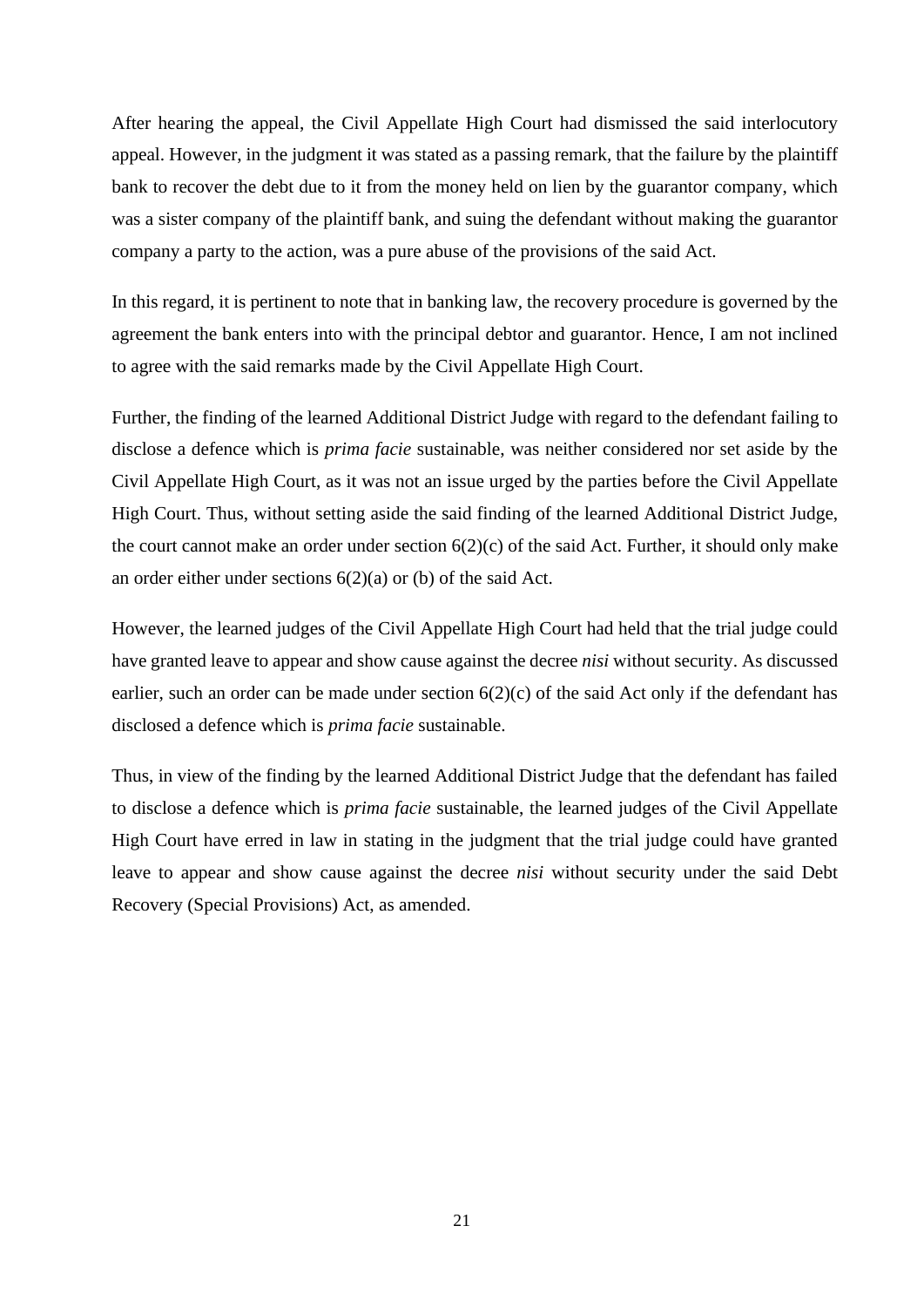After hearing the appeal, the Civil Appellate High Court had dismissed the said interlocutory appeal. However, in the judgment it was stated as a passing remark*,* that the failure by the plaintiff bank to recover the debt due to it from the money held on lien by the guarantor company, which was a sister company of the plaintiff bank, and suing the defendant without making the guarantor company a party to the action, was a pure abuse of the provisions of the said Act.

In this regard, it is pertinent to note that in banking law, the recovery procedure is governed by the agreement the bank enters into with the principal debtor and guarantor. Hence, I am not inclined to agree with the said remarks made by the Civil Appellate High Court.

Further, the finding of the learned Additional District Judge with regard to the defendant failing to disclose a defence which is *prima facie* sustainable, was neither considered nor set aside by the Civil Appellate High Court, as it was not an issue urged by the parties before the Civil Appellate High Court. Thus, without setting aside the said finding of the learned Additional District Judge, the court cannot make an order under section 6(2)(c) of the said Act. Further, it should only make an order either under sections 6(2)(a) or (b) of the said Act.

However, the learned judges of the Civil Appellate High Court had held that the trial judge could have granted leave to appear and show cause against the decree *nisi* without security. As discussed earlier, such an order can be made under section  $6(2)(c)$  of the said Act only if the defendant has disclosed a defence which is *prima facie* sustainable.

Thus, in view of the finding by the learned Additional District Judge that the defendant has failed to disclose a defence which is *prima facie* sustainable, the learned judges of the Civil Appellate High Court have erred in law in stating in the judgment that the trial judge could have granted leave to appear and show cause against the decree *nisi* without security under the said Debt Recovery (Special Provisions) Act, as amended.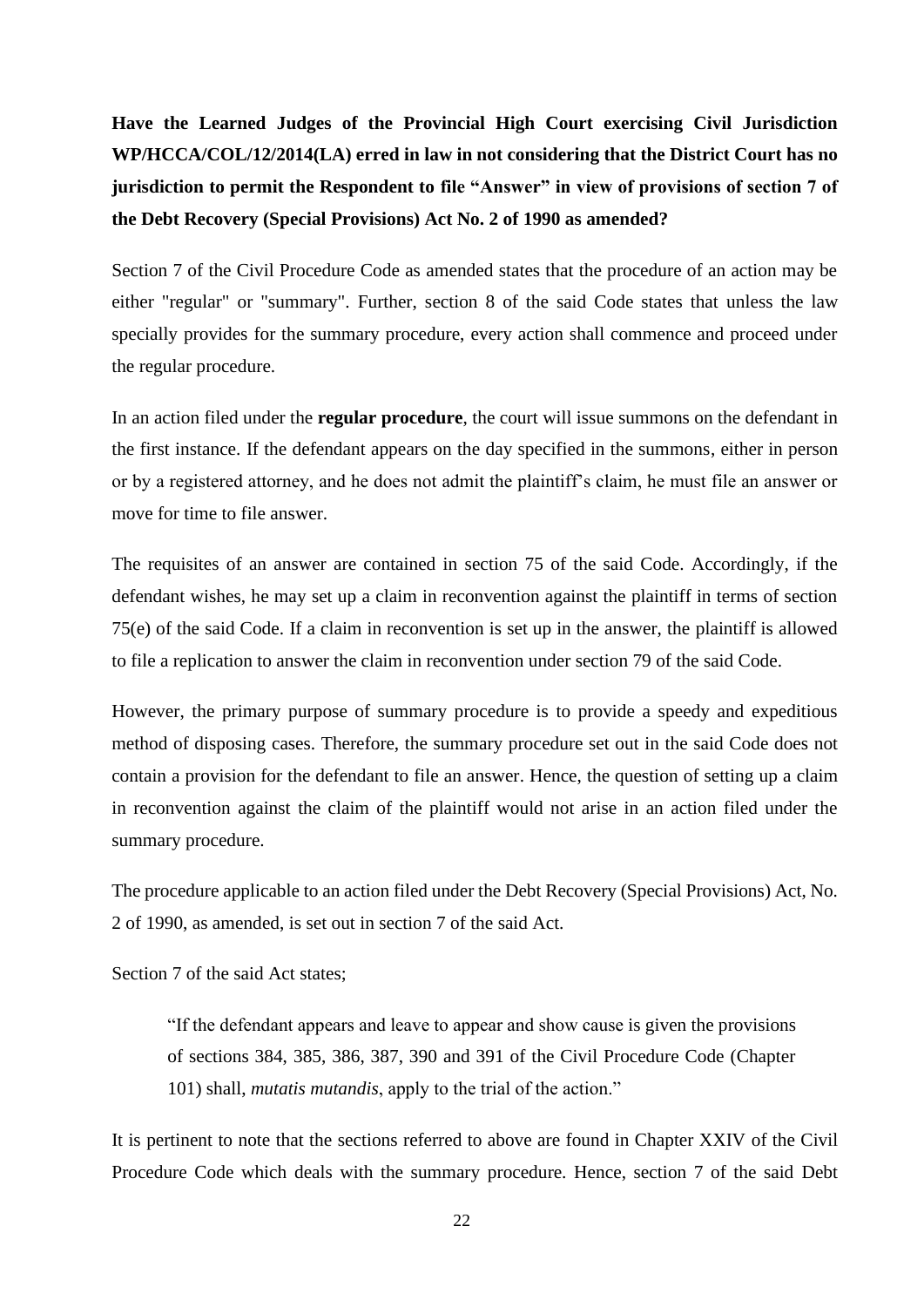**Have the Learned Judges of the Provincial High Court exercising Civil Jurisdiction WP/HCCA/COL/12/2014(LA) erred in law in not considering that the District Court has no jurisdiction to permit the Respondent to file "Answer" in view of provisions of section 7 of the Debt Recovery (Special Provisions) Act No. 2 of 1990 as amended?**

Section 7 of the Civil Procedure Code as amended states that the procedure of an action may be either "regular" or "summary". Further, section 8 of the said Code states that unless the law specially provides for the summary procedure, every action shall commence and proceed under the regular procedure.

In an action filed under the **regular procedure**, the court will issue summons on the defendant in the first instance. If the defendant appears on the day specified in the summons, either in person or by a registered attorney, and he does not admit the plaintiff's claim, he must file an answer or move for time to file answer.

The requisites of an answer are contained in section 75 of the said Code. Accordingly, if the defendant wishes, he may set up a claim in reconvention against the plaintiff in terms of section 75(e) of the said Code. If a claim in reconvention is set up in the answer, the plaintiff is allowed to file a replication to answer the claim in reconvention under section 79 of the said Code.

However, the primary purpose of summary procedure is to provide a speedy and expeditious method of disposing cases. Therefore, the summary procedure set out in the said Code does not contain a provision for the defendant to file an answer. Hence, the question of setting up a claim in reconvention against the claim of the plaintiff would not arise in an action filed under the summary procedure.

The procedure applicable to an action filed under the Debt Recovery (Special Provisions) Act, No. 2 of 1990, as amended, is set out in section 7 of the said Act.

Section 7 of the said Act states;

"If the defendant appears and leave to appear and show cause is given the provisions of sections 384, 385, 386, 387, 390 and 391 of the Civil Procedure Code (Chapter 101) shall, *mutatis mutandis*, apply to the trial of the action."

It is pertinent to note that the sections referred to above are found in Chapter XXIV of the Civil Procedure Code which deals with the summary procedure. Hence, section 7 of the said Debt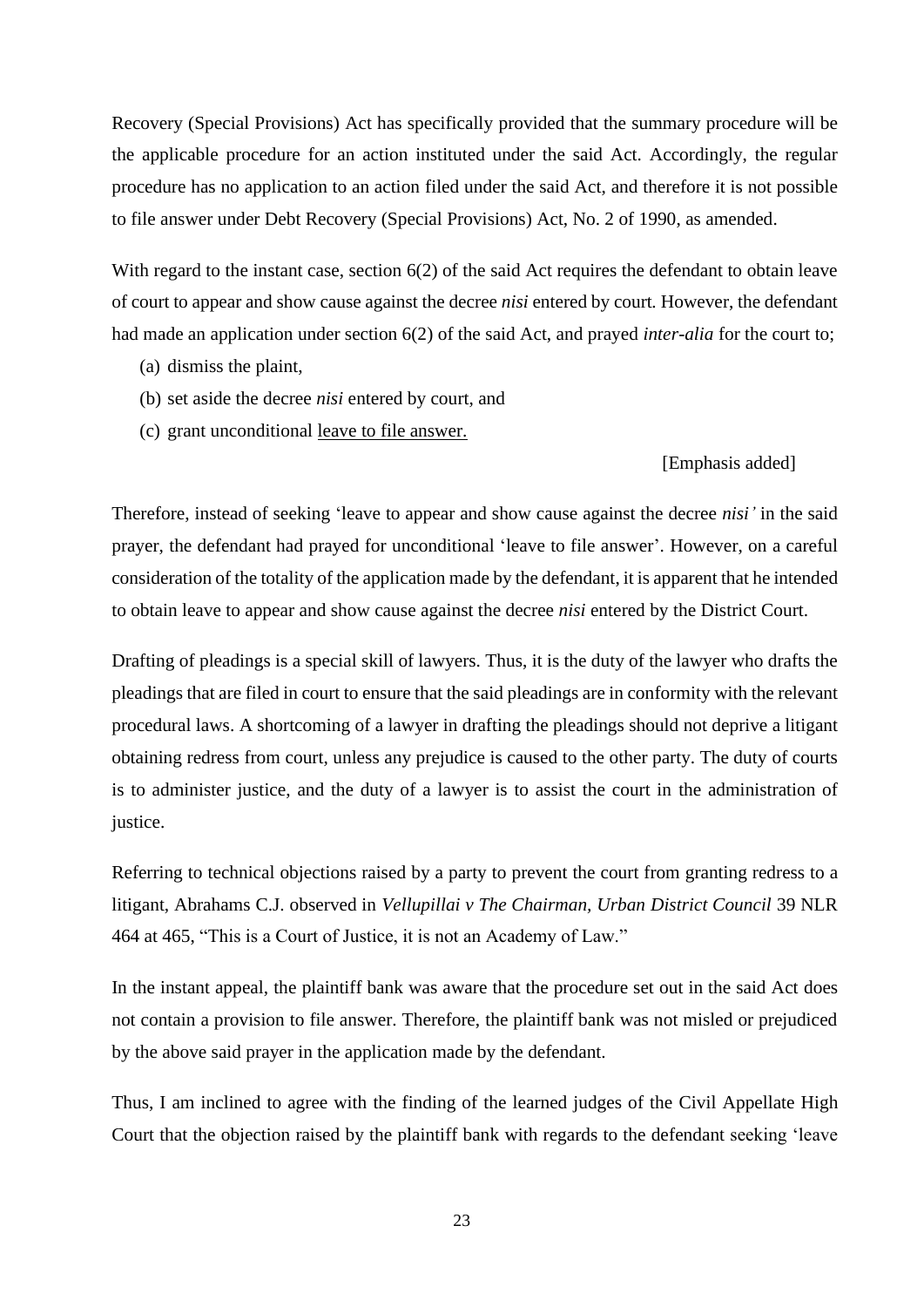Recovery (Special Provisions) Act has specifically provided that the summary procedure will be the applicable procedure for an action instituted under the said Act. Accordingly, the regular procedure has no application to an action filed under the said Act, and therefore it is not possible to file answer under Debt Recovery (Special Provisions) Act, No. 2 of 1990, as amended.

With regard to the instant case, section 6(2) of the said Act requires the defendant to obtain leave of court to appear and show cause against the decree *nisi* entered by court*.* However, the defendant had made an application under section 6(2) of the said Act, and prayed *inter-alia* for the court to;

- (a) dismiss the plaint,
- (b) set aside the decree *nisi* entered by court, and
- (c) grant unconditional leave to file answer.

# [Emphasis added]

Therefore, instead of seeking 'leave to appear and show cause against the decree *nisi'* in the said prayer, the defendant had prayed for unconditional 'leave to file answer'. However, on a careful consideration of the totality of the application made by the defendant, it is apparent that he intended to obtain leave to appear and show cause against the decree *nisi* entered by the District Court.

Drafting of pleadings is a special skill of lawyers. Thus, it is the duty of the lawyer who drafts the pleadings that are filed in court to ensure that the said pleadings are in conformity with the relevant procedural laws. A shortcoming of a lawyer in drafting the pleadings should not deprive a litigant obtaining redress from court, unless any prejudice is caused to the other party. The duty of courts is to administer justice, and the duty of a lawyer is to assist the court in the administration of justice.

Referring to technical objections raised by a party to prevent the court from granting redress to a litigant, Abrahams C.J. observed in *Vellupillai v The Chairman, Urban District Council* 39 NLR 464 at 465, "This is a Court of Justice, it is not an Academy of Law."

In the instant appeal, the plaintiff bank was aware that the procedure set out in the said Act does not contain a provision to file answer. Therefore, the plaintiff bank was not misled or prejudiced by the above said prayer in the application made by the defendant.

Thus, I am inclined to agree with the finding of the learned judges of the Civil Appellate High Court that the objection raised by the plaintiff bank with regards to the defendant seeking 'leave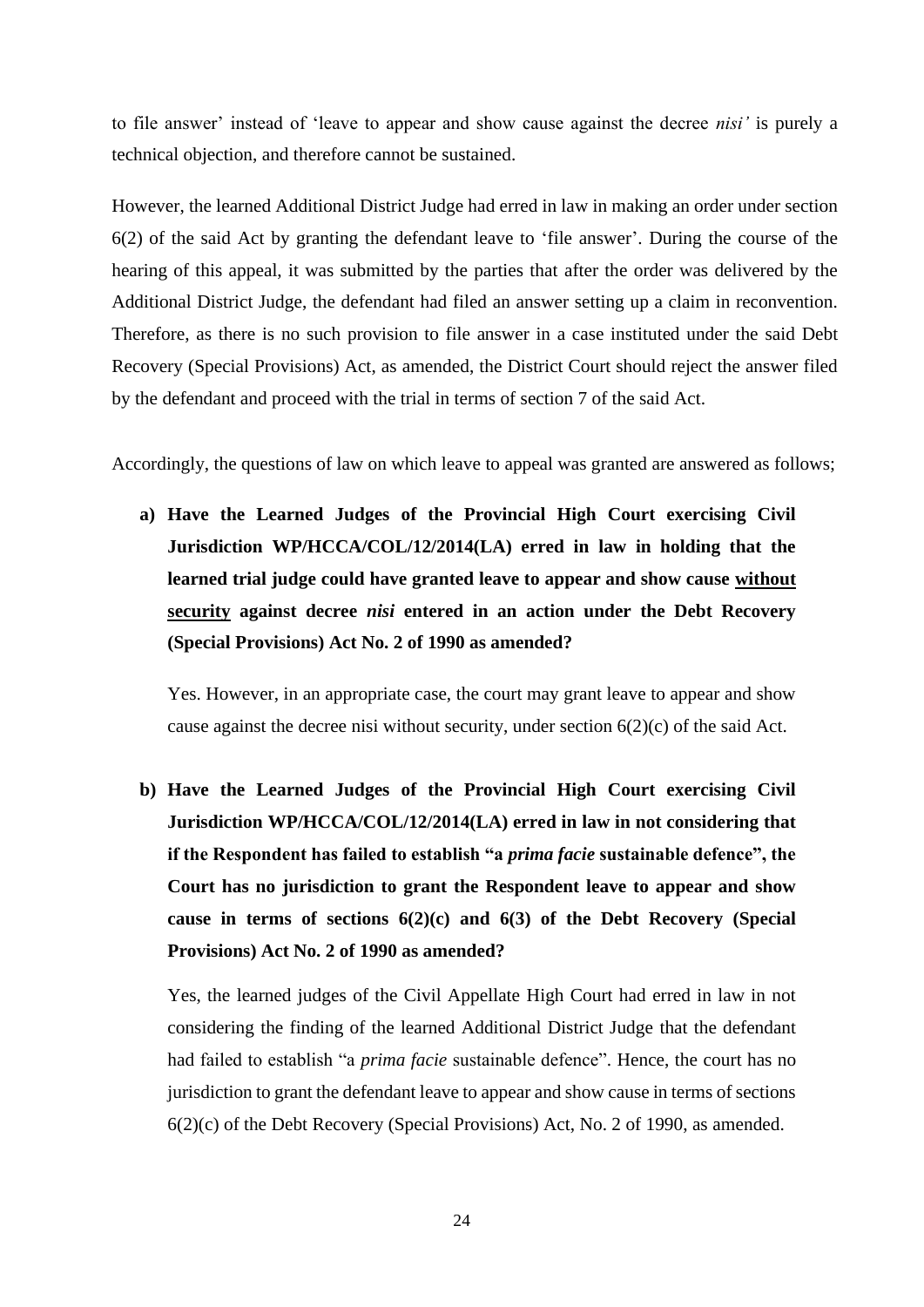to file answer' instead of 'leave to appear and show cause against the decree *nisi'* is purely a technical objection, and therefore cannot be sustained.

However, the learned Additional District Judge had erred in law in making an order under section 6(2) of the said Act by granting the defendant leave to 'file answer'. During the course of the hearing of this appeal, it was submitted by the parties that after the order was delivered by the Additional District Judge, the defendant had filed an answer setting up a claim in reconvention. Therefore, as there is no such provision to file answer in a case instituted under the said Debt Recovery (Special Provisions) Act, as amended, the District Court should reject the answer filed by the defendant and proceed with the trial in terms of section 7 of the said Act.

Accordingly, the questions of law on which leave to appeal was granted are answered as follows;

**a) Have the Learned Judges of the Provincial High Court exercising Civil Jurisdiction WP/HCCA/COL/12/2014(LA) erred in law in holding that the learned trial judge could have granted leave to appear and show cause without security against decree** *nisi* **entered in an action under the Debt Recovery (Special Provisions) Act No. 2 of 1990 as amended?**

Yes. However, in an appropriate case, the court may grant leave to appear and show cause against the decree nisi without security, under section  $6(2)(c)$  of the said Act.

**b) Have the Learned Judges of the Provincial High Court exercising Civil Jurisdiction WP/HCCA/COL/12/2014(LA) erred in law in not considering that if the Respondent has failed to establish "a** *prima facie* **sustainable defence", the Court has no jurisdiction to grant the Respondent leave to appear and show cause in terms of sections 6(2)(c) and 6(3) of the Debt Recovery (Special Provisions) Act No. 2 of 1990 as amended?**

Yes, the learned judges of the Civil Appellate High Court had erred in law in not considering the finding of the learned Additional District Judge that the defendant had failed to establish "a *prima facie* sustainable defence". Hence, the court has no jurisdiction to grant the defendant leave to appear and show cause in terms of sections 6(2)(c) of the Debt Recovery (Special Provisions) Act, No. 2 of 1990, as amended.